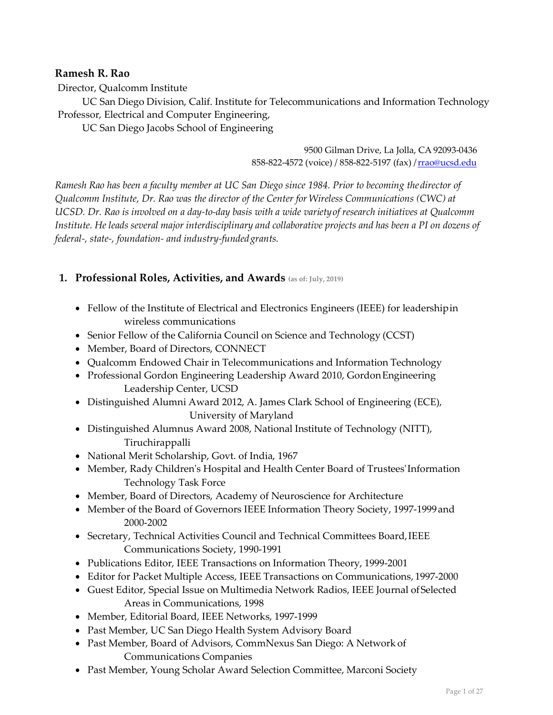## **Ramesh R. Rao**

Director, Qualcomm Institute

UC San Diego Division, Calif. Institute for Telecommunications and Information Technology Professor, Electrical and Computer Engineering,

UC San Diego Jacobs School of Engineering

9500 Gilman Drive, La Jolla, CA 92093-0436 858-822-4572 (voice) / 858-822-5197 (fax) / rrao@ucsd.edu

*Ramesh Rao has been a faculty member at UC San Diego since 1984. Prior to becoming thedirector of Qualcomm Institute, Dr. Rao was the director of the Center for Wireless Communications (CWC) at UCSD. Dr. Rao is involved on a day-to-day basis with a wide varietyof research initiatives at Qualcomm Institute. He leads several major interdisciplinary and collaborative projects and has been a PI on dozens of federal-, state-, foundation- and industry-fundedgrants.*

## **1. Professional Roles, Activities, and Awards (as of: July, 2019)**

- Fellow of the Institute of Electrical and Electronics Engineers (IEEE) for leadershipin wireless communications
- Senior Fellow of the California Council on Science and Technology (CCST)
- Member, Board of Directors, CONNECT
- Qualcomm Endowed Chair in Telecommunications and Information Technology
- Professional Gordon Engineering Leadership Award 2010, GordonEngineering Leadership Center, UCSD
- Distinguished Alumni Award 2012, A. James Clark School of Engineering (ECE), University of Maryland
- Distinguished Alumnus Award 2008, National Institute of Technology (NITT), Tiruchirappalli
- National Merit Scholarship, Govt. of India, 1967
- Member, Rady Children's Hospital and Health Center Board of Trustees' Information Technology Task Force
- Member, Board of Directors, Academy of Neuroscience for Architecture
- Member of the Board of Governors IEEE Information Theory Society, 1997-1999and 2000-2002
- Secretary, Technical Activities Council and Technical Committees Board,IEEE Communications Society, 1990-1991
- Publications Editor, IEEE Transactions on Information Theory, 1999-2001
- Editor for Packet Multiple Access, IEEE Transactions on Communications, 1997-2000
- Guest Editor, Special Issue on Multimedia Network Radios, IEEE Journal ofSelected Areas in Communications, 1998
- Member, Editorial Board, IEEE Networks, 1997-1999
- Past Member, UC San Diego Health System Advisory Board
- Past Member, Board of Advisors, CommNexus San Diego: A Network of Communications Companies
- Past Member, Young Scholar Award Selection Committee, Marconi Society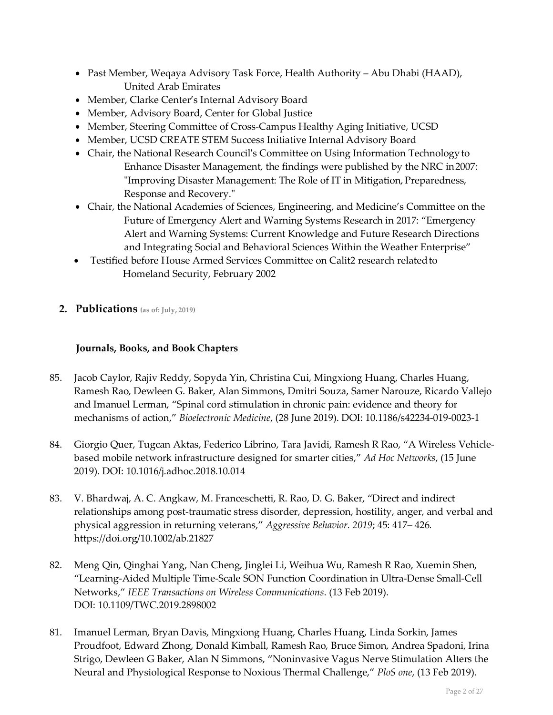- Past Member, Weqaya Advisory Task Force, Health Authority Abu Dhabi (HAAD), United Arab Emirates
- Member, Clarke Center's Internal Advisory Board
- Member, Advisory Board, Center for Global Justice
- Member, Steering Committee of Cross-Campus Healthy Aging Initiative, UCSD
- Member, UCSD CREATE STEM Success Initiative Internal Advisory Board
- Chair, the National Research Council's Committee on Using Information Technologyto Enhance Disaster Management, the findings were published by the NRC in2007: "Improving Disaster Management: The Role of IT in Mitigation, Preparedness, Response and Recovery."
- Chair, the National Academies of Sciences, Engineering, and Medicine's Committee on the Future of Emergency Alert and Warning Systems Research in 2017: "Emergency Alert and Warning Systems: Current Knowledge and Future Research Directions and Integrating Social and Behavioral Sciences Within the Weather Enterprise"
- Testified before House Armed Services Committee on Calit2 research relatedto Homeland Security, February 2002
- **2. Publications (as of: July, 2019)**

## **Journals, Books, and Book Chapters**

- 85. Jacob Caylor, Rajiv Reddy, Sopyda Yin, Christina Cui, Mingxiong Huang, Charles Huang, Ramesh Rao, Dewleen G. Baker, Alan Simmons, Dmitri Souza, Samer Narouze, Ricardo Vallejo and Imanuel Lerman, "Spinal cord stimulation in chronic pain: evidence and theory for mechanisms of action," *Bioelectronic Medicine*, (28 June 2019). DOI: 10.1186/s42234-019-0023-1
- 84. Giorgio Quer, Tugcan Aktas, Federico Librino, Tara Javidi, Ramesh R Rao, "A Wireless Vehiclebased mobile network infrastructure designed for smarter cities," *Ad Hoc Networks*, (15 June 2019). DOI: 10.1016/j.adhoc.2018.10.014
- 83. V. Bhardwaj, A. C. Angkaw, M. Franceschetti, R. Rao, D. G. Baker, "Direct and indirect relationships among post-traumatic stress disorder, depression, hostility, anger, and verbal and physical aggression in returning veterans," *Aggressive Behavior. 2019*; 45: 417– 426*.*  https://doi.org/10.1002/ab.21827
- 82. Meng Qin, Qinghai Yang, Nan Cheng, Jinglei Li, Weihua Wu, Ramesh R Rao, Xuemin Shen, "Learning-Aided Multiple Time-Scale SON Function Coordination in Ultra-Dense Small-Cell Networks," *IEEE Transactions on Wireless Communications*. (13 Feb 2019). DOI: 10.1109/TWC.2019.2898002
- 81. Imanuel Lerman, Bryan Davis, Mingxiong Huang, Charles Huang, Linda Sorkin, James Proudfoot, Edward Zhong, Donald Kimball, Ramesh Rao, Bruce Simon, Andrea Spadoni, Irina Strigo, Dewleen G Baker, Alan N Simmons, "Noninvasive Vagus Nerve Stimulation Alters the Neural and Physiological Response to Noxious Thermal Challenge," *PloS one*, (13 Feb 2019).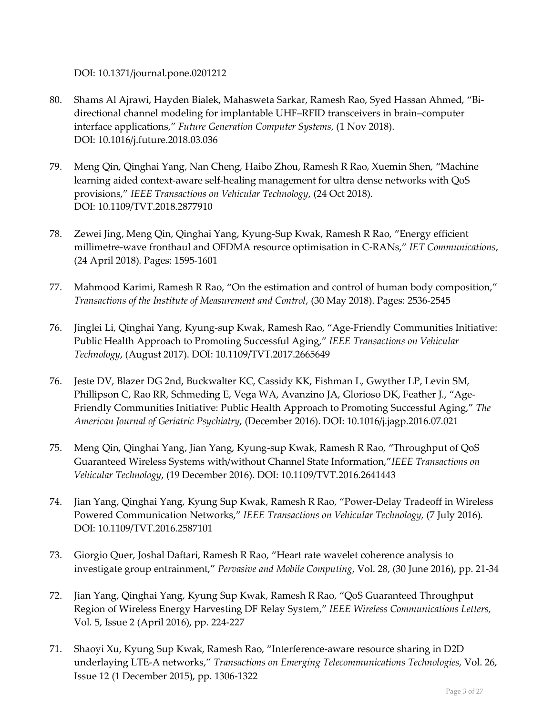DOI: 10.1371/journal.pone.0201212

- 80. Shams Al Ajrawi, Hayden Bialek, Mahasweta Sarkar, Ramesh Rao, Syed Hassan Ahmed, "Bidirectional channel modeling for implantable UHF–RFID transceivers in brain–computer interface applications," *Future Generation Computer Systems*, (1 Nov 2018). DOI: 10.1016/j.future.2018.03.036
- 79. Meng Qin, Qinghai Yang, Nan Cheng, Haibo Zhou, Ramesh R Rao, Xuemin Shen, "Machine learning aided context-aware self-healing management for ultra dense networks with QoS provisions," *IEEE Transactions on Vehicular Technology*, (24 Oct 2018). DOI: 10.1109/TVT.2018.2877910
- 78. Zewei Jing, Meng Qin, Qinghai Yang, Kyung-Sup Kwak, Ramesh R Rao, "Energy efficient millimetre-wave fronthaul and OFDMA resource optimisation in C-RANs," *IET Communications*, (24 April 2018). Pages: 1595-1601
- 77. Mahmood Karimi, Ramesh R Rao, "On the estimation and control of human body composition," *Transactions of the Institute of Measurement and Control*, (30 May 2018). Pages: 2536-2545
- 76. Jinglei Li, Qinghai Yang, Kyung-sup Kwak, Ramesh Rao, "Age-Friendly Communities Initiative: Public Health Approach to Promoting Successful Aging," *IEEE Transactions on Vehicular Technology*, (August 2017). DOI: 10.1109/TVT.2017.2665649
- 76. Jeste DV, Blazer DG 2nd, Buckwalter KC, Cassidy KK, Fishman L, Gwyther LP, Levin SM, Phillipson C, Rao RR, Schmeding E, Vega WA, Avanzino JA, Glorioso DK, Feather J., "Age-Friendly Communities Initiative: Public Health Approach to Promoting Successful Aging," *The American Journal of Geriatric Psychiatry*, (December 2016). DOI: 10.1016/j.jagp.2016.07.021
- 75. Meng Qin, Qinghai Yang, Jian Yang, Kyung-sup Kwak, Ramesh R Rao, "Throughput of QoS Guaranteed Wireless Systems with/without Channel State Information,"*IEEE Transactions on Vehicular Technology*, (19 December 2016). DOI: 10.1109/TVT.2016.2641443
- 74. Jian Yang, Qinghai Yang, Kyung Sup Kwak, Ramesh R Rao, "Power-Delay Tradeoff in Wireless Powered Communication Networks," *IEEE Transactions on Vehicular Technology,* (7 July 2016). DOI: 10.1109/TVT.2016.2587101
- 73. Giorgio Quer, Joshal Daftari, Ramesh R Rao, "Heart rate wavelet coherence analysis to investigate group entrainment," *Pervasive and Mobile Computing*, Vol. 28, (30 June 2016), pp. 21-34
- 72. Jian Yang, Qinghai Yang, Kyung Sup Kwak, Ramesh R Rao, "QoS Guaranteed Throughput Region of Wireless Energy Harvesting DF Relay System," *IEEE Wireless Communications Letters,*  Vol. 5, Issue 2 (April 2016), pp. 224-227
- 71. Shaoyi Xu, Kyung Sup Kwak, Ramesh Rao, "Interference-aware resource sharing in D2D underlaying LTE-A networks," *Transactions on Emerging Telecommunications Technologies,* Vol. 26, Issue 12 (1 December 2015), pp. 1306-1322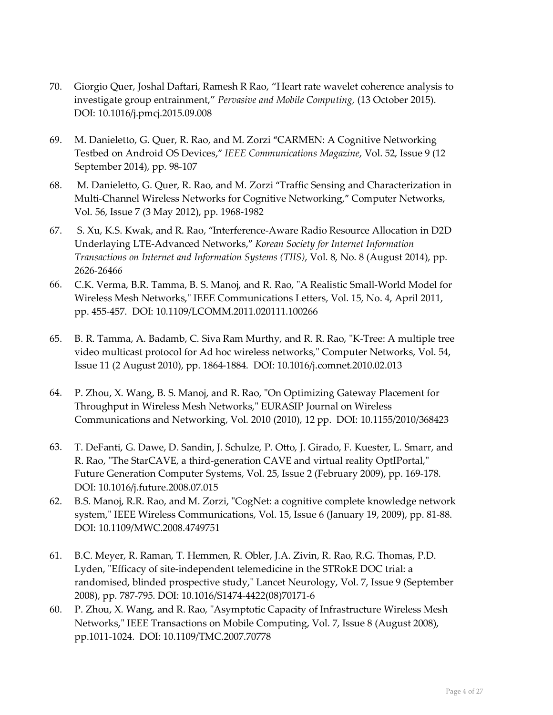- 70. Giorgio Quer, Joshal Daftari, Ramesh R Rao, "Heart rate wavelet coherence analysis to investigate group entrainment," *Pervasive and Mobile Computing,* (13 October 2015). DOI: 10.1016/j.pmcj.2015.09.008
- 69. M. Danieletto, G. Quer, R. Rao, and M. Zorzi "CARMEN: A Cognitive Networking Testbed on Android OS Devices," *IEEE Communications Magazine*, Vol. 52, Issue 9 (12 September 2014), pp. 98-107
- 68. M. Danieletto, G. Quer, R. Rao, and M. Zorzi "Traffic Sensing and Characterization in Multi-Channel Wireless Networks for Cognitive Networking," Computer Networks, Vol. 56, Issue 7 (3 May 2012), pp. 1968-1982
- 67. S. Xu, K.S. Kwak, and R. Rao, "Interference-Aware Radio Resource Allocation in D2D Underlaying LTE-Advanced Networks," *Korean Society for Internet Information Transactions on Internet and Information Systems (TIIS)*, Vol. 8, No. 8 (August 2014), pp. 2626-2646*6*
- 66. C.K. Verma, B.R. Tamma, B. S. Manoj, and R. Rao, "A Realistic Small-World Model for Wireless Mesh Networks," IEEE Communications Letters, Vol. 15, No. 4, April 2011, pp. 455-457. DOI: 10.1109/LCOMM.2011.020111.100266
- 65. B. R. Tamma, A. Badamb, C. Siva Ram Murthy, and R. R. Rao, "K-Tree: A multiple tree video multicast protocol for Ad hoc wireless networks," Computer Networks, Vol. 54, Issue 11 (2 August 2010), pp. 1864-1884. DOI: 10.1016/j.comnet.2010.02.013
- 64. P. Zhou, X. Wang, B. S. Manoj, and R. Rao, "On Optimizing Gateway Placement for Throughput in Wireless Mesh Networks," EURASIP Journal on Wireless Communications and Networking, Vol. 2010 (2010), 12 pp. DOI: 10.1155/2010/368423
- 63. T. DeFanti, G. Dawe, D. Sandin, J. Schulze, P. Otto, J. Girado, F. Kuester, L. Smarr, and R. Rao, "The StarCAVE, a third-generation CAVE and virtual reality OptIPortal," Future Generation Computer Systems, Vol. 25, Issue 2 (February 2009), pp. 169-178. DOI: 10.1016/j.future.2008.07.015
- 62. B.S. Manoj, R.R. Rao, and M. Zorzi, "CogNet: a cognitive complete knowledge network system," IEEE Wireless Communications, Vol. 15, Issue 6 (January 19, 2009), pp. 81-88. DOI: 10.1109/MWC.2008.4749751
- 61. B.C. Meyer, R. Raman, T. Hemmen, R. Obler, J.A. Zivin, R. Rao, R.G. Thomas, P.D. Lyden, "Efficacy of site-independent telemedicine in the STRokE DOC trial: a randomised, blinded prospective study," Lancet Neurology, Vol. 7, Issue 9 (September 2008), pp. 787-795. DOI: 10.1016/S1474-4422(08)70171-6
- 60. P. Zhou, X. Wang, and R. Rao, "Asymptotic Capacity of Infrastructure Wireless Mesh Networks," IEEE Transactions on Mobile Computing, Vol. 7, Issue 8 (August 2008), pp.1011-1024. DOI: 10.1109/TMC.2007.70778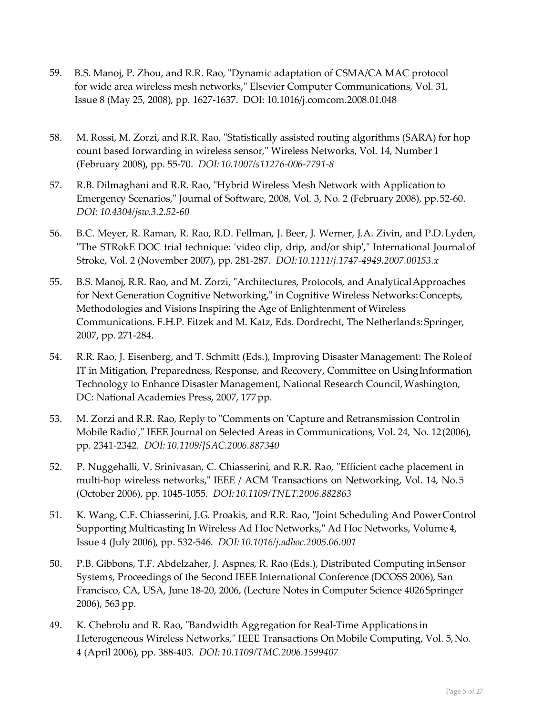- 59. B.S. Manoj, P. Zhou, and R.R. Rao, "Dynamic adaptation of CSMA/CA MAC protocol for wide area wireless mesh networks," Elsevier Computer Communications, Vol. 31, Issue 8 (May 25, 2008), pp. 1627-1637. DOI: 10.1016/j.comcom.2008.01.048
- 58. M. Rossi, M. Zorzi, and R.R. Rao, "Statistically assisted routing algorithms (SARA) for hop count based forwarding in wireless sensor," Wireless Networks, Vol. 14, Number 1 (February 2008), pp. 55-70. *DOI: 10.1007/s11276-006-7791-8*
- 57. R.B. Dilmaghani and R.R. Rao, "Hybrid Wireless Mesh Network with Application to Emergency Scenarios," Journal of Software, 2008, Vol. 3, No. 2 (February 2008), pp.52-60. *DOI: 10.4304/jsw.3.2.52-60*
- 56. B.C. Meyer, R. Raman, R. Rao, R.D. Fellman, J. Beer, J. Werner, J.A. Zivin, and P.D.Lyden, "The STRokE DOC trial technique: 'video clip, drip, and/or ship'," International Journalof Stroke, Vol. 2 (November 2007), pp. 281-287. *DOI:10.1111/j.1747-4949.2007.00153.x*
- 55. B.S. Manoj, R.R. Rao, and M. Zorzi, "Architectures, Protocols, and AnalyticalApproaches for Next Generation Cognitive Networking," in Cognitive Wireless Networks:Concepts, Methodologies and Visions Inspiring the Age of Enlightenment of Wireless Communications. F.H.P. Fitzek and M. Katz, Eds. Dordrecht, The Netherlands:Springer, 2007, pp. 271-284.
- 54. R.R. Rao, J. Eisenberg, and T. Schmitt (Eds.), Improving Disaster Management: The Roleof IT in Mitigation, Preparedness, Response, and Recovery, Committee on UsingInformation Technology to Enhance Disaster Management, National Research Council,Washington, DC: National Academies Press, 2007, 177 pp.
- 53. M. Zorzi and R.R. Rao, Reply to "Comments on 'Capture and Retransmission Controlin Mobile Radio'," IEEE Journal on Selected Areas in Communications, Vol. 24, No. 12(2006), pp. 2341-2342. *DOI: 10.1109/JSAC.2006.887340*
- 52. P. Nuggehalli, V. Srinivasan, C. Chiasserini, and R.R. Rao, "Efficient cache placement in multi-hop wireless networks," IEEE / ACM Transactions on Networking, Vol. 14, No. 5 (October 2006), pp. 1045-1055. *DOI: 10.1109/TNET.2006.882863*
- 51. K. Wang, C.F. Chiasserini, J.G. Proakis, and R.R. Rao, "Joint Scheduling And PowerControl Supporting Multicasting In Wireless Ad Hoc Networks," Ad Hoc Networks, Volume 4, Issue 4 (July 2006), pp. 532-546. *DOI: 10.1016/j.adhoc.2005.06.001*
- 50. P.B. Gibbons, T.F. Abdelzaher, J. Aspnes, R. Rao (Eds.), Distributed Computing inSensor Systems, Proceedings of the Second IEEE International Conference (DCOSS 2006), San Francisco, CA, USA, June 18-20, 2006, (Lecture Notes in Computer Science 4026Springer 2006), 563 pp.
- 49. K. Chebrolu and R. Rao, "Bandwidth Aggregation for Real-Time Applications in Heterogeneous Wireless Networks," IEEE Transactions On Mobile Computing, Vol. 5,No. 4 (April 2006), pp. 388-403. *DOI: 10.1109/TMC.2006.1599407*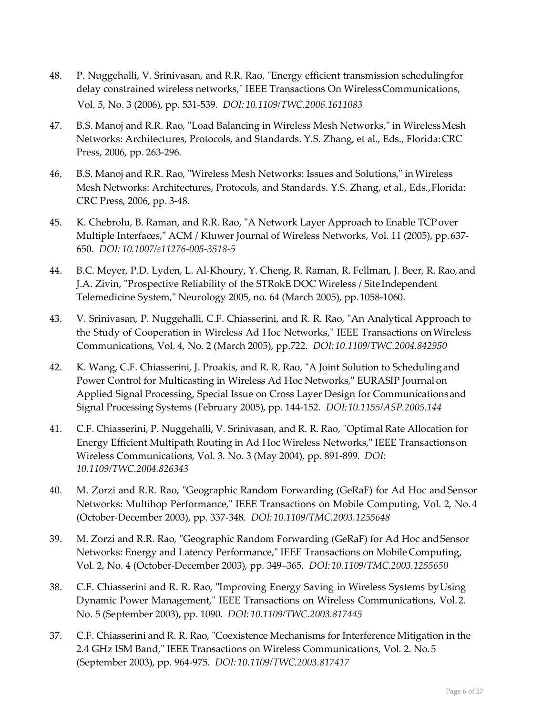- 48. P. Nuggehalli, V. Srinivasan, and R.R. Rao, "Energy efficient transmission schedulingfor delay constrained wireless networks," IEEE Transactions On WirelessCommunications, Vol. 5, No. 3 (2006), pp. 531-539. *DOI: 10.1109/TWC.2006.1611083*
- 47. B.S. Manoj and R.R. Rao, "Load Balancing in Wireless Mesh Networks," in WirelessMesh Networks: Architectures, Protocols, and Standards. Y.S. Zhang, et al., Eds., Florida:CRC Press, 2006, pp. 263-296.
- 46. B.S. Manoj and R.R. Rao, "Wireless Mesh Networks: Issues and Solutions," inWireless Mesh Networks: Architectures, Protocols, and Standards. Y.S. Zhang, et al., Eds.,Florida: CRC Press, 2006, pp. 3-48.
- 45. K. Chebrolu, B. Raman, and R.R. Rao, "A Network Layer Approach to Enable TCPover Multiple Interfaces," ACM / Kluwer Journal of Wireless Networks, Vol. 11 (2005), pp.637- 650. *DOI: 10.1007/s11276-005-3518-5*
- 44. B.C. Meyer, P.D. Lyden, L. Al-Khoury, Y. Cheng, R. Raman, R. Fellman, J. Beer, R. Rao,and J.A. Zivin, "Prospective Reliability of the STRokE DOC Wireless / SiteIndependent Telemedicine System," Neurology 2005, no. 64 (March 2005), pp.1058-1060.
- 43. V. Srinivasan, P. Nuggehalli, C.F. Chiasserini, and R. R. Rao, "An Analytical Approach to the Study of Cooperation in Wireless Ad Hoc Networks," IEEE Transactions onWireless Communications, Vol. 4, No. 2 (March 2005), pp.722. *DOI:10.1109/TWC.2004.842950*
- 42. K. Wang, C.F. Chiasserini, J. Proakis, and R. R. Rao, "A Joint Solution to Schedulingand Power Control for Multicasting in Wireless Ad Hoc Networks," EURASIP Journal on Applied Signal Processing, Special Issue on Cross Layer Design for Communicationsand Signal Processing Systems (February 2005), pp. 144-152. *DOI:10.1155/ASP.2005.144*
- 41. C.F. Chiasserini, P. Nuggehalli, V. Srinivasan, and R. R. Rao, "Optimal Rate Allocation for Energy Efficient Multipath Routing in Ad Hoc Wireless Networks," IEEE Transactionson Wireless Communications, Vol. 3. No. 3 (May 2004), pp. 891-899. *DOI: 10.1109/TWC.2004.826343*
- 40. M. Zorzi and R.R. Rao, "Geographic Random Forwarding (GeRaF) for Ad Hoc and Sensor Networks: Multihop Performance," IEEE Transactions on Mobile Computing, Vol. 2, No. 4 (October-December 2003), pp. 337-348. *DOI: 10.1109/TMC.2003.1255648*
- 39. M. Zorzi and R.R. Rao, "Geographic Random Forwarding (GeRaF) for Ad Hoc andSensor Networks: Energy and Latency Performance," IEEE Transactions on Mobile Computing, Vol. 2, No. 4 (October-December 2003), pp. 349–365. *DOI:10.1109/TMC.2003.1255650*
- 38. C.F. Chiasserini and R. R. Rao, "Improving Energy Saving in Wireless Systems byUsing Dynamic Power Management," IEEE Transactions on Wireless Communications, Vol.2. No. 5 (September 2003), pp. 1090. *DOI: 10.1109/TWC.2003.817445*
- 37. C.F. Chiasserini and R. R. Rao, "Coexistence Mechanisms for Interference Mitigation in the 2.4 GHz ISM Band," IEEE Transactions on Wireless Communications, Vol. 2. No.5 (September 2003), pp. 964-975. *DOI: 10.1109/TWC.2003.817417*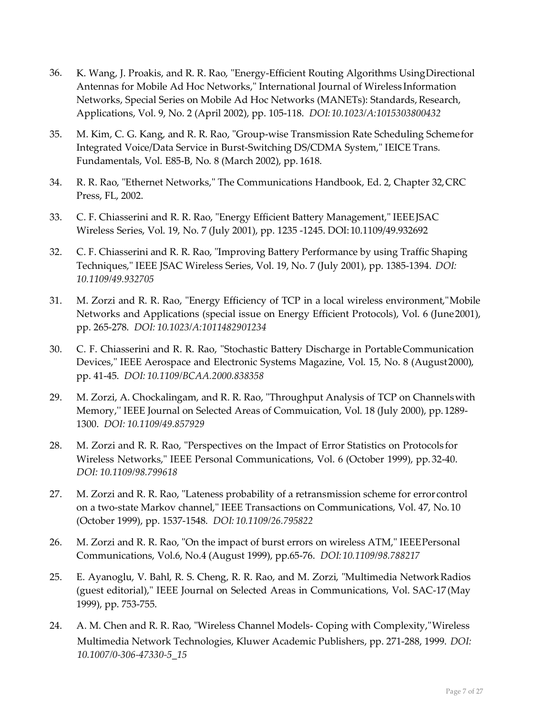- 36. K. Wang, J. Proakis, and R. R. Rao, "Energy-Efficient Routing Algorithms UsingDirectional Antennas for Mobile Ad Hoc Networks," International Journal of Wireless Information Networks, Special Series on Mobile Ad Hoc Networks (MANETs): Standards, Research, Applications, Vol. 9, No. 2 (April 2002), pp. 105-118. *DOI:10.1023/A:1015303800432*
- 35. M. Kim, C. G. Kang, and R. R. Rao, "Group-wise Transmission Rate Scheduling Schemefor Integrated Voice/Data Service in Burst-Switching DS/CDMA System," IEICE Trans. Fundamentals, Vol. E85-B, No. 8 (March 2002), pp. 1618.
- 34. R. R. Rao, "Ethernet Networks," The Communications Handbook, Ed. 2, Chapter 32,CRC Press, FL, 2002.
- 33. C. F. Chiasserini and R. R. Rao, "Energy Efficient Battery Management," IEEEJSAC Wireless Series, Vol. 19, No. 7 (July 2001), pp. 1235 -1245. DOI:10.1109/49.932692
- 32. C. F. Chiasserini and R. R. Rao, "Improving Battery Performance by using Traffic Shaping Techniques," IEEE JSAC Wireless Series, Vol. 19, No. 7 (July 2001), pp. 1385-1394. *DOI: 10.1109/49.932705*
- 31. M. Zorzi and R. R. Rao, "Energy Efficiency of TCP in a local wireless environment,"Mobile Networks and Applications (special issue on Energy Efficient Protocols), Vol. 6 (June2001), pp. 265-278. *DOI: 10.1023/A:1011482901234*
- 30. C. F. Chiasserini and R. R. Rao, "Stochastic Battery Discharge in PortableCommunication Devices," IEEE Aerospace and Electronic Systems Magazine, Vol. 15, No. 8 (August2000), pp. 41-45. *DOI: 10.1109/BCAA.2000.838358*
- 29. M. Zorzi, A. Chockalingam, and R. R. Rao, "Throughput Analysis of TCP on Channelswith Memory,'' IEEE Journal on Selected Areas of Commuication, Vol. 18 (July 2000), pp. 1289- 1300. *DOI: 10.1109/49.857929*
- 28. M. Zorzi and R. R. Rao, "Perspectives on the Impact of Error Statistics on Protocols for Wireless Networks," IEEE Personal Communications, Vol. 6 (October 1999), pp. 32-40. *DOI: 10.1109/98.799618*
- 27. M. Zorzi and R. R. Rao, "Lateness probability of a retransmission scheme for errorcontrol on a two-state Markov channel," IEEE Transactions on Communications, Vol. 47, No. 10 (October 1999), pp. 1537-1548. *DOI: 10.1109/26.795822*
- 26. M. Zorzi and R. R. Rao, "On the impact of burst errors on wireless ATM," IEEEPersonal Communications, Vol.6, No.4 (August 1999), pp.65-76. *DOI:10.1109/98.788217*
- 25. E. Ayanoglu, V. Bahl, R. S. Cheng, R. R. Rao, and M. Zorzi, "Multimedia NetworkRadios (guest editorial)," IEEE Journal on Selected Areas in Communications, Vol. SAC-17 (May 1999), pp. 753-755.
- 24. A. M. Chen and R. R. Rao, "Wireless Channel Models- Coping with Complexity,"Wireless Multimedia Network Technologies, Kluwer Academic Publishers, pp. 271-288, 1999. *DOI: 10.1007/0-306-47330-5\_15*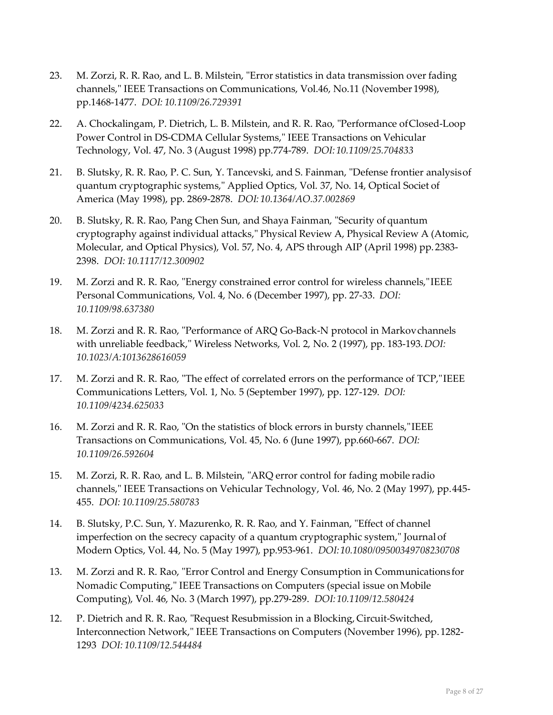- 23. M. Zorzi, R. R. Rao, and L. B. Milstein, "Error statistics in data transmission over fading channels," IEEE Transactions on Communications, Vol.46, No.11 (November 1998), pp.1468-1477. *DOI: 10.1109/26.729391*
- 22. A. Chockalingam, P. Dietrich, L. B. Milstein, and R. R. Rao, "Performance ofClosed-Loop Power Control in DS-CDMA Cellular Systems," IEEE Transactions on Vehicular Technology, Vol. 47, No. 3 (August 1998) pp.774-789. *DOI:10.1109/25.704833*
- 21. B. Slutsky, R. R. Rao, P. C. Sun, Y. Tancevski, and S. Fainman, "Defense frontier analysisof quantum cryptographic systems," Applied Optics, Vol. 37, No. 14, Optical Societ of America (May 1998), pp. 2869-2878. *DOI: 10.1364/AO.37.002869*
- 20. B. Slutsky, R. R. Rao, Pang Chen Sun, and Shaya Fainman, "Security of quantum cryptography against individual attacks," Physical Review A, Physical Review A (Atomic, Molecular, and Optical Physics), Vol. 57, No. 4, APS through AIP (April 1998) pp. 2383- 2398. *DOI: 10.1117/12.300902*
- 19. M. Zorzi and R. R. Rao, "Energy constrained error control for wireless channels,"IEEE Personal Communications, Vol. 4, No. 6 (December 1997), pp. 27-33. *DOI: 10.1109/98.637380*
- 18. M. Zorzi and R. R. Rao, "Performance of ARQ Go-Back-N protocol in Markovchannels with unreliable feedback," Wireless Networks, Vol. 2, No. 2 (1997), pp. 183-193.*DOI: 10.1023/A:1013628616059*
- 17. M. Zorzi and R. R. Rao, "The effect of correlated errors on the performance of TCP,"IEEE Communications Letters, Vol. 1, No. 5 (September 1997), pp. 127-129. *DOI: 10.1109/4234.625033*
- 16. M. Zorzi and R. R. Rao, "On the statistics of block errors in bursty channels,"IEEE Transactions on Communications, Vol. 45, No. 6 (June 1997), pp.660-667. *DOI: 10.1109/26.592604*
- 15. M. Zorzi, R. R. Rao, and L. B. Milstein, "ARQ error control for fading mobile radio channels," IEEE Transactions on Vehicular Technology, Vol. 46, No. 2 (May 1997), pp.445- 455. *DOI: 10.1109/25.580783*
- 14. B. Slutsky, P.C. Sun, Y. Mazurenko, R. R. Rao, and Y. Fainman, "Effect of channel imperfection on the secrecy capacity of a quantum cryptographic system," Journal of Modern Optics, Vol. 44, No. 5 (May 1997), pp.953-961. *DOI:10.1080/09500349708230708*
- 13. M. Zorzi and R. R. Rao, "Error Control and Energy Consumption in Communications for Nomadic Computing," IEEE Transactions on Computers (special issue onMobile Computing), Vol. 46, No. 3 (March 1997), pp.279-289. *DOI:10.1109/12.580424*
- 12. P. Dietrich and R. R. Rao, "Request Resubmission in a Blocking, Circuit-Switched, Interconnection Network," IEEE Transactions on Computers (November 1996), pp.1282- 1293 *DOI: 10.1109/12.544484*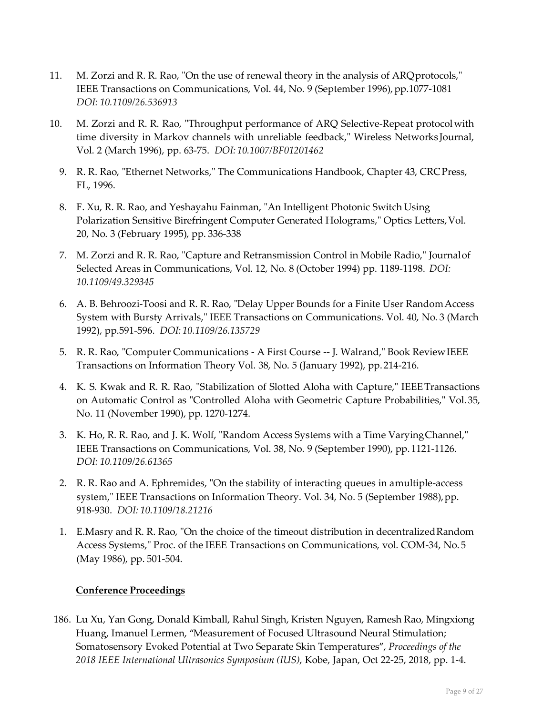- 11. M. Zorzi and R. R. Rao, "On the use of renewal theory in the analysis of ARQprotocols," IEEE Transactions on Communications, Vol. 44, No. 9 (September 1996), pp.1077-1081 *DOI: 10.1109/26.536913*
- 10. M. Zorzi and R. R. Rao, "Throughput performance of ARQ Selective-Repeat protocolwith time diversity in Markov channels with unreliable feedback," Wireless Networks Journal, Vol. 2 (March 1996), pp. 63-75. *DOI: 10.1007/BF01201462*
	- 9. R. R. Rao, "Ethernet Networks," The Communications Handbook, Chapter 43, CRCPress, FL, 1996.
	- 8. F. Xu, R. R. Rao, and Yeshayahu Fainman, "An Intelligent Photonic Switch Using Polarization Sensitive Birefringent Computer Generated Holograms," Optics Letters,Vol. 20, No. 3 (February 1995), pp. 336-338
	- 7. M. Zorzi and R. R. Rao, "Capture and Retransmission Control in Mobile Radio," Journalof Selected Areas in Communications, Vol. 12, No. 8 (October 1994) pp. 1189-1198. *DOI: 10.1109/49.329345*
	- 6. A. B. Behroozi-Toosi and R. R. Rao, "Delay Upper Bounds for a Finite User RandomAccess System with Bursty Arrivals," IEEE Transactions on Communications. Vol. 40, No. 3 (March 1992), pp.591-596. *DOI: 10.1109/26.135729*
	- 5. R. R. Rao, "Computer Communications A First Course -- J. Walrand," Book ReviewIEEE Transactions on Information Theory Vol. 38, No. 5 (January 1992), pp.214-216.
	- 4. K. S. Kwak and R. R. Rao, "Stabilization of Slotted Aloha with Capture," IEEETransactions on Automatic Control as "Controlled Aloha with Geometric Capture Probabilities," Vol.35, No. 11 (November 1990), pp. 1270-1274.
	- 3. K. Ho, R. R. Rao, and J. K. Wolf, "Random Access Systems with a Time VaryingChannel," IEEE Transactions on Communications, Vol. 38, No. 9 (September 1990), pp. 1121-1126. *DOI: 10.1109/26.61365*
	- 2. R. R. Rao and A. Ephremides, "On the stability of interacting queues in amultiple-access system," IEEE Transactions on Information Theory. Vol. 34, No. 5 (September 1988), pp. 918-930. *DOI: 10.1109/18.21216*
	- 1. E.Masry and R. R. Rao, "On the choice of the timeout distribution in decentralizedRandom Access Systems," Proc. of the IEEE Transactions on Communications, vol. COM-34, No. 5 (May 1986), pp. 501-504.

## **Conference Proceedings**

186. Lu Xu, Yan Gong, Donald Kimball, Rahul Singh, Kristen Nguyen, Ramesh Rao, Mingxiong Huang, Imanuel Lermen, "Measurement of Focused Ultrasound Neural Stimulation; Somatosensory Evoked Potential at Two Separate Skin Temperatures", *Proceedings of the 2018 IEEE International Ultrasonics Symposium (IUS)*, Kobe, Japan, Oct 22-25, 2018, pp. 1-4.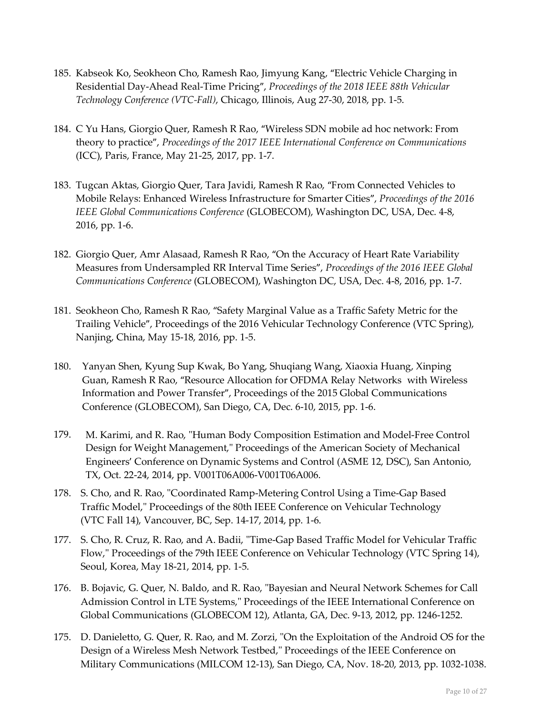- 185. Kabseok Ko, Seokheon Cho, Ramesh Rao, Jimyung Kang, "Electric Vehicle Charging in Residential Day-Ahead Real-Time Pricing", *Proceedings of the 2018 IEEE 88th Vehicular Technology Conference (VTC-Fall)*, Chicago, Illinois, Aug 27-30, 2018, pp. 1-5.
- 184. C Yu Hans, Giorgio Quer, Ramesh R Rao, "Wireless SDN mobile ad hoc network: From theory to practice", *Proceedings of the 2017 IEEE International Conference on Communications* (ICC), Paris, France, May 21-25, 2017, pp. 1-7.
- 183. Tugcan Aktas, Giorgio Quer, Tara Javidi, Ramesh R Rao, "From Connected Vehicles to Mobile Relays: Enhanced Wireless Infrastructure for Smarter Cities", *Proceedings of the 2016 IEEE Global Communications Conference* (GLOBECOM), Washington DC, USA, Dec. 4-8, 2016, pp. 1-6.
- 182. Giorgio Quer, Amr Alasaad, Ramesh R Rao, "On the Accuracy of Heart Rate Variability Measures from Undersampled RR Interval Time Series", *Proceedings of the 2016 IEEE Global Communications Conference* (GLOBECOM), Washington DC, USA, Dec. 4-8, 2016, pp. 1-7.
- 181. Seokheon Cho, Ramesh R Rao, "Safety Marginal Value as a Traffic Safety Metric for the Trailing Vehicle", Proceedings of the 2016 Vehicular Technology Conference (VTC Spring), Nanjing, China, May 15-18, 2016, pp. 1-5.
- 180. Yanyan Shen, Kyung Sup Kwak, Bo Yang, Shuqiang Wang, Xiaoxia Huang, Xinping Guan, Ramesh R Rao, "Resource Allocation for OFDMA Relay Networks with Wireless Information and Power Transfer", Proceedings of the 2015 Global Communications Conference (GLOBECOM), San Diego, CA, Dec. 6-10, 2015, pp. 1-6.
- 179. M. Karimi, and R. Rao, "Human Body Composition Estimation and Model-Free Control Design for Weight Management," Proceedings of the American Society of Mechanical Engineers' Conference on Dynamic Systems and Control (ASME 12, DSC), San Antonio, TX, Oct. 22-24, 2014, pp. V001T06A006-V001T06A006.
- 178. S. Cho, and R. Rao, "Coordinated Ramp-Metering Control Using a Time-Gap Based Traffic Model," Proceedings of the 80th IEEE Conference on Vehicular Technology (VTC Fall 14), Vancouver, BC, Sep. 14-17, 2014, pp. 1-6.
- 177. S. Cho, R. Cruz, R. Rao, and A. Badii, "Time-Gap Based Traffic Model for Vehicular Traffic Flow," Proceedings of the 79th IEEE Conference on Vehicular Technology (VTC Spring 14), Seoul, Korea, May 18-21, 2014, pp. 1-5.
- 176. B. Bojavic, G. Quer, N. Baldo, and R. Rao, "Bayesian and Neural Network Schemes for Call Admission Control in LTE Systems," Proceedings of the IEEE International Conference on Global Communications (GLOBECOM 12), Atlanta, GA, Dec. 9-13, 2012, pp. 1246-1252.
- 175. D. Danieletto, G. Quer, R. Rao, and M. Zorzi, "On the Exploitation of the Android OS for the Design of a Wireless Mesh Network Testbed," Proceedings of the IEEE Conference on Military Communications (MILCOM 12-13), San Diego, CA, Nov. 18-20, 2013, pp. 1032-1038.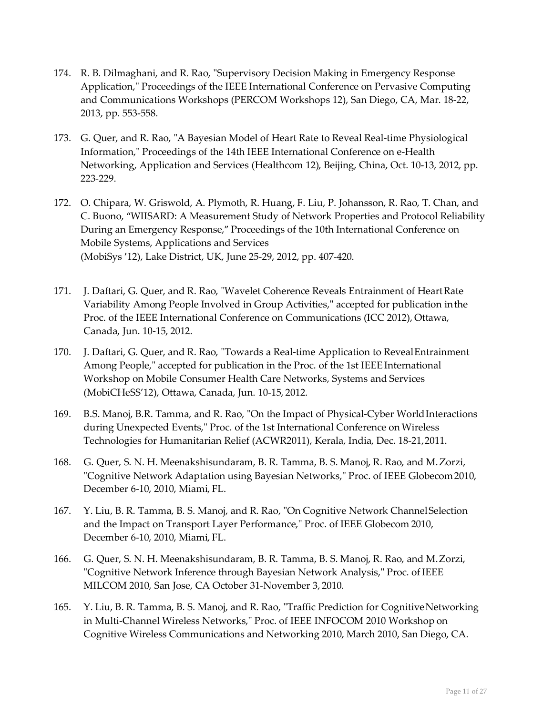- 174. R. B. Dilmaghani, and R. Rao, "Supervisory Decision Making in Emergency Response Application," Proceedings of the IEEE International Conference on Pervasive Computing and Communications Workshops (PERCOM Workshops 12), San Diego, CA, Mar. 18-22, 2013, pp. 553-558.
- 173. G. Quer, and R. Rao, "A Bayesian Model of Heart Rate to Reveal Real-time Physiological Information," Proceedings of the 14th IEEE International Conference on e-Health Networking, Application and Services (Healthcom 12), Beijing, China, Oct. 10-13, 2012, pp. 223-229.
- 172. O. Chipara, W. Griswold, A. Plymoth, R. Huang, F. Liu, P. Johansson, R. Rao, T. Chan, and C. Buono, "WIISARD: A Measurement Study of Network Properties and Protocol Reliability During an Emergency Response," Proceedings of the 10th International Conference on Mobile Systems, Applications and Services (MobiSys '12), Lake District, UK, June 25-29, 2012, pp. 407-420.
- 171. J. Daftari, G. Quer, and R. Rao, "Wavelet Coherence Reveals Entrainment of HeartRate Variability Among People Involved in Group Activities," accepted for publication inthe Proc. of the IEEE International Conference on Communications (ICC 2012), Ottawa, Canada, Jun. 10-15, 2012.
- 170. J. Daftari, G. Quer, and R. Rao, "Towards a Real-time Application to RevealEntrainment Among People," accepted for publication in the Proc. of the 1st IEEE International Workshop on Mobile Consumer Health Care Networks, Systems and Services (MobiCHeSS'12), Ottawa, Canada, Jun. 10-15, 2012.
- 169. B.S. Manoj, B.R. Tamma, and R. Rao, "On the Impact of Physical-Cyber WorldInteractions during Unexpected Events," Proc. of the 1st International Conference on Wireless Technologies for Humanitarian Relief (ACWR2011), Kerala, India, Dec. 18-21,2011.
- 168. G. Quer, S. N. H. Meenakshisundaram, B. R. Tamma, B. S. Manoj, R. Rao, and M.Zorzi, "Cognitive Network Adaptation using Bayesian Networks," Proc. of IEEE Globecom2010, December 6-10, 2010, Miami, FL.
- 167. Y. Liu, B. R. Tamma, B. S. Manoj, and R. Rao, "On Cognitive Network ChannelSelection and the Impact on Transport Layer Performance," Proc. of IEEE Globecom 2010, December 6-10, 2010, Miami, FL.
- 166. G. Quer, S. N. H. Meenakshisundaram, B. R. Tamma, B. S. Manoj, R. Rao, and M.Zorzi, "Cognitive Network Inference through Bayesian Network Analysis," Proc. of IEEE MILCOM 2010, San Jose, CA October 31-November 3, 2010.
- 165. Y. Liu, B. R. Tamma, B. S. Manoj, and R. Rao, "Traffic Prediction for CognitiveNetworking in Multi-Channel Wireless Networks," Proc. of IEEE INFOCOM 2010 Workshop on Cognitive Wireless Communications and Networking 2010, March 2010, San Diego, CA.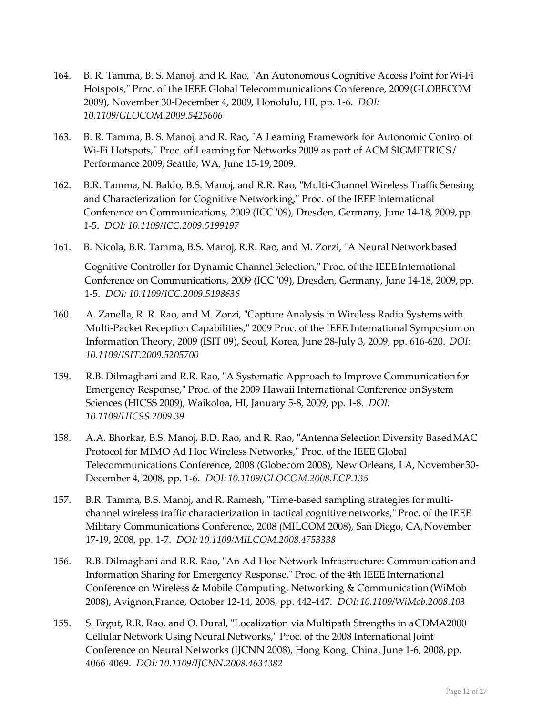- 164. B. R. Tamma, B. S. Manoj, and R. Rao, "An Autonomous Cognitive Access Point forWi-Fi Hotspots," Proc. of the IEEE Global Telecommunications Conference, 2009(GLOBECOM 2009), November 30-December 4, 2009, Honolulu, HI, pp. 1-6. *DOI: 10.1109/GLOCOM.2009.5425606*
- 163. B. R. Tamma, B. S. Manoj, and R. Rao, "A Learning Framework for Autonomic Controlof Wi-Fi Hotspots," Proc. of Learning for Networks 2009 as part of ACM SIGMETRICS / Performance 2009, Seattle, WA, June 15-19, 2009.
- 162. B.R. Tamma, N. Baldo, B.S. Manoj, and R.R. Rao, "Multi-Channel Wireless TrafficSensing and Characterization for Cognitive Networking," Proc. of the IEEE International Conference on Communications, 2009 (ICC '09), Dresden, Germany, June 14-18, 2009,pp. 1-5. *DOI: 10.1109/ICC.2009.5199197*
- 161. B. Nicola, B.R. Tamma, B.S. Manoj, R.R. Rao, and M. Zorzi, "A Neural Networkbased Cognitive Controller for Dynamic Channel Selection," Proc. of the IEEE International Conference on Communications, 2009 (ICC '09), Dresden, Germany, June 14-18, 2009,pp. 1-5. *DOI: 10.1109/ICC.2009.5198636*
- 160. A. Zanella, R. R. Rao, and M. Zorzi, "Capture Analysis in Wireless Radio Systems with Multi-Packet Reception Capabilities," 2009 Proc. of the IEEE International Symposiumon Information Theory, 2009 (ISIT 09), Seoul, Korea, June 28-July 3, 2009, pp. 616-620. *DOI: 10.1109/ISIT.2009.5205700*
- 159. R.B. Dilmaghani and R.R. Rao, "A Systematic Approach to Improve Communicationfor Emergency Response," Proc. of the 2009 Hawaii International Conference on System Sciences (HICSS 2009), Waikoloa, HI, January 5-8, 2009, pp. 1-8. *DOI: 10.1109/HICSS.2009.39*
- 158. A.A. Bhorkar, B.S. Manoj, B.D. Rao, and R. Rao, "Antenna Selection Diversity BasedMAC Protocol for MIMO Ad Hoc Wireless Networks," Proc. of the IEEE Global Telecommunications Conference, 2008 (Globecom 2008), New Orleans, LA, November30- December 4, 2008, pp. 1-6. *DOI: 10.1109/GLOCOM.2008.ECP.135*
- 157. B.R. Tamma, B.S. Manoj, and R. Ramesh, "Time-based sampling strategies for multichannel wireless traffic characterization in tactical cognitive networks," Proc. of the IEEE Military Communications Conference, 2008 (MILCOM 2008), San Diego, CA,November 17-19, 2008, pp. 1-7. *DOI: 10.1109/MILCOM.2008.4753338*
- 156. R.B. Dilmaghani and R.R. Rao, "An Ad Hoc Network Infrastructure: Communicationand Information Sharing for Emergency Response," Proc. of the 4th IEEE International Conference on Wireless & Mobile Computing, Networking & Communication (WiMob 2008), Avignon,France, October 12-14, 2008, pp. 442-447. *DOI: 10.1109/WiMob.2008.103*
- 155. S. Ergut, R.R. Rao, and O. Dural, "Localization via Multipath Strengths in aCDMA2000 Cellular Network Using Neural Networks," Proc. of the 2008 International Joint Conference on Neural Networks (IJCNN 2008), Hong Kong, China, June 1-6, 2008, pp. 4066-4069. *DOI: 10.1109/IJCNN.2008.4634382*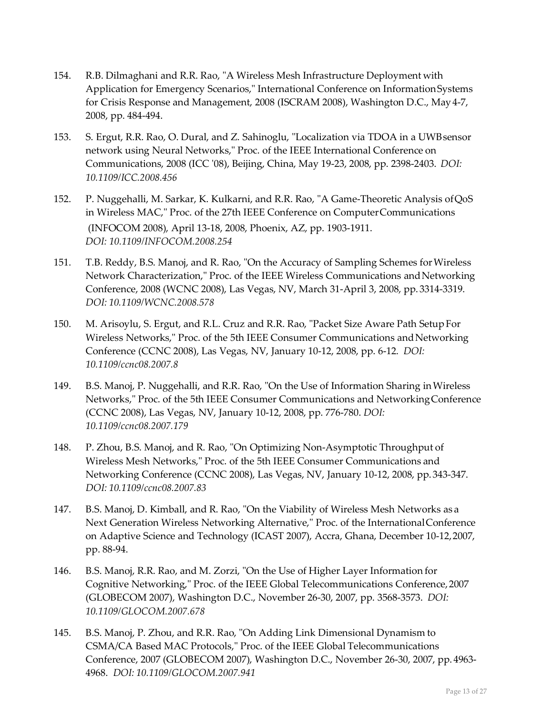- 154. R.B. Dilmaghani and R.R. Rao, "A Wireless Mesh Infrastructure Deployment with Application for Emergency Scenarios," International Conference on InformationSystems for Crisis Response and Management, 2008 (ISCRAM 2008), Washington D.C., May 4-7, 2008, pp. 484-494.
- 153. S. Ergut, R.R. Rao, O. Dural, and Z. Sahinoglu, "Localization via TDOA in a UWBsensor network using Neural Networks," Proc. of the IEEE International Conference on Communications, 2008 (ICC '08), Beijing, China, May 19-23, 2008, pp. 2398-2403. *DOI: 10.1109/ICC.2008.456*
- 152. P. Nuggehalli, M. Sarkar, K. Kulkarni, and R.R. Rao, "A Game-Theoretic Analysis ofQoS in Wireless MAC," Proc. of the 27th IEEE Conference on ComputerCommunications (INFOCOM 2008), April 13-18, 2008, Phoenix, AZ, pp. 1903-1911. *DOI: 10.1109/INFOCOM.2008.254*
- 151. T.B. Reddy, B.S. Manoj, and R. Rao, "On the Accuracy of Sampling Schemes forWireless Network Characterization," Proc. of the IEEE Wireless Communications andNetworking Conference, 2008 (WCNC 2008), Las Vegas, NV, March 31-April 3, 2008, pp. 3314-3319. *DOI: 10.1109/WCNC.2008.578*
- 150. M. Arisoylu, S. Ergut, and R.L. Cruz and R.R. Rao, "Packet Size Aware Path SetupFor Wireless Networks," Proc. of the 5th IEEE Consumer Communications andNetworking Conference (CCNC 2008), Las Vegas, NV, January 10-12, 2008, pp. 6-12. *DOI: 10.1109/ccnc08.2007.8*
- 149. B.S. Manoj, P. Nuggehalli, and R.R. Rao, "On the Use of Information Sharing inWireless Networks," Proc. of the 5th IEEE Consumer Communications and NetworkingConference (CCNC 2008), Las Vegas, NV, January 10-12, 2008, pp. 776-780. *DOI: 10.1109/ccnc08.2007.179*
- 148. P. Zhou, B.S. Manoj, and R. Rao, "On Optimizing Non-Asymptotic Throughput of Wireless Mesh Networks," Proc. of the 5th IEEE Consumer Communications and Networking Conference (CCNC 2008), Las Vegas, NV, January 10-12, 2008, pp. 343-347. *DOI: 10.1109/ccnc08.2007.83*
- 147. B.S. Manoj, D. Kimball, and R. Rao, "On the Viability of Wireless Mesh Networks as a Next Generation Wireless Networking Alternative," Proc. of the InternationalConference on Adaptive Science and Technology (ICAST 2007), Accra, Ghana, December 10-12,2007, pp. 88-94.
- 146. B.S. Manoj, R.R. Rao, and M. Zorzi, "On the Use of Higher Layer Information for Cognitive Networking," Proc. of the IEEE Global Telecommunications Conference,2007 (GLOBECOM 2007), Washington D.C., November 26-30, 2007, pp. 3568-3573. *DOI: 10.1109/GLOCOM.2007.678*
- 145. B.S. Manoj, P. Zhou, and R.R. Rao, "On Adding Link Dimensional Dynamism to CSMA/CA Based MAC Protocols," Proc. of the IEEE Global Telecommunications Conference, 2007 (GLOBECOM 2007), Washington D.C., November 26-30, 2007, pp. 4963- 4968. *DOI: 10.1109/GLOCOM.2007.941*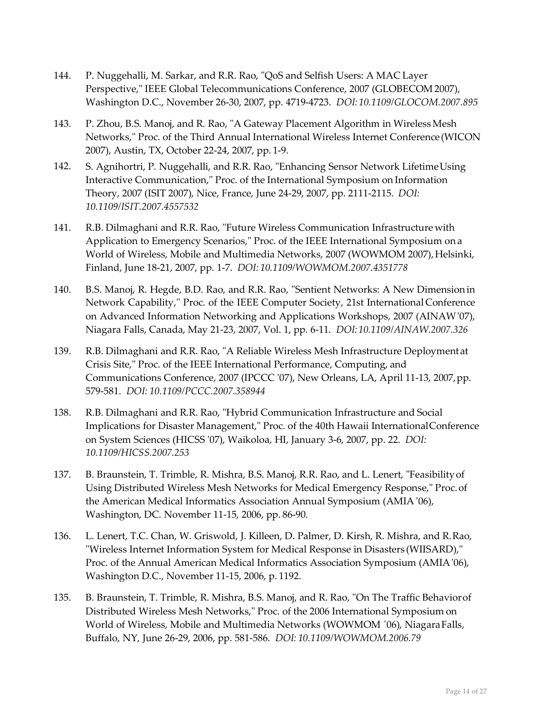- 144. P. Nuggehalli, M. Sarkar, and R.R. Rao, "QoS and Selfish Users: A MAC Layer Perspective," IEEE Global Telecommunications Conference, 2007 (GLOBECOM 2007), Washington D.C., November 26-30, 2007, pp. 4719-4723. *DOI: 10.1109/GLOCOM.2007.895*
- 143. P. Zhou, B.S. Manoj, and R. Rao, "A Gateway Placement Algorithm in WirelessMesh Networks," Proc. of the Third Annual International Wireless Internet Conference(WICON 2007), Austin, TX, October 22-24, 2007, pp. 1-9.
- 142. S. Agnihortri, P. Nuggehalli, and R.R. Rao, "Enhancing Sensor Network Lifetime Using Interactive Communication," Proc. of the International Symposium on Information Theory, 2007 (ISIT 2007), Nice, France, June 24-29, 2007, pp. 2111-2115. *DOI: 10.1109/ISIT.2007.4557532*
- 141. R.B. Dilmaghani and R.R. Rao, "Future Wireless Communication Infrastructure with Application to Emergency Scenarios," Proc. of the IEEE International Symposium ona World of Wireless, Mobile and Multimedia Networks, 2007 (WOWMOM 2007), Helsinki, Finland, June 18-21, 2007, pp. 1-7. *DOI: 10.1109/WOWMOM.2007.4351778*
- 140. B.S. Manoj, R. Hegde, B.D. Rao, and R.R. Rao, "Sentient Networks: A New Dimensionin Network Capability," Proc. of the IEEE Computer Society, 21st International Conference on Advanced Information Networking and Applications Workshops, 2007 (AINAW'07), Niagara Falls, Canada, May 21-23, 2007, Vol. 1, pp. 6-11. *DOI:10.1109/AINAW.2007.326*
- 139. R.B. Dilmaghani and R.R. Rao, "A Reliable Wireless Mesh Infrastructure Deploymentat Crisis Site," Proc. of the IEEE International Performance, Computing, and Communications Conference, 2007 (IPCCC '07), New Orleans, LA, April 11-13, 2007,pp. 579-581. *DOI: 10.1109/PCCC.2007.358944*
- 138. R.B. Dilmaghani and R.R. Rao, "Hybrid Communication Infrastructure and Social Implications for Disaster Management," Proc. of the 40th Hawaii InternationalConference on System Sciences (HICSS '07), Waikoloa, HI, January 3-6, 2007, pp. 22. *DOI: 10.1109/HICSS.2007.253*
- 137. B. Braunstein, T. Trimble, R. Mishra, B.S. Manoj, R.R. Rao, and L. Lenert, "Feasibilityof Using Distributed Wireless Mesh Networks for Medical Emergency Response," Proc.of the American Medical Informatics Association Annual Symposium (AMIA '06), Washington, DC. November 11-15, 2006, pp. 86-90.
- 136. L. Lenert, T.C. Chan, W. Griswold, J. Killeen, D. Palmer, D. Kirsh, R. Mishra, and R.Rao, "Wireless Internet Information System for Medical Response in Disasters (WIISARD)," Proc. of the Annual American Medical Informatics Association Symposium (AMIA'06), Washington D.C., November 11-15, 2006, p. 1192.
- 135. B. Braunstein, T. Trimble, R. Mishra, B.S. Manoj, and R. Rao, "On The Traffic Behaviorof Distributed Wireless Mesh Networks," Proc. of the 2006 International Symposium on World of Wireless, Mobile and Multimedia Networks (WOWMOM '06), NiagaraFalls, Buffalo, NY, June 26-29, 2006, pp. 581-586. *DOI: 10.1109/WOWMOM.2006.79*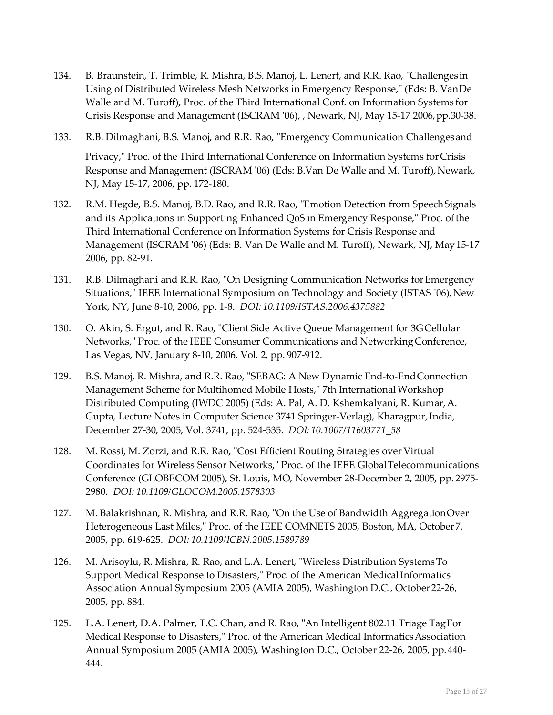- 134. B. Braunstein, T. Trimble, R. Mishra, B.S. Manoj, L. Lenert, and R.R. Rao, "Challenges in Using of Distributed Wireless Mesh Networks in Emergency Response," (Eds: B. VanDe Walle and M. Turoff), Proc. of the Third International Conf. on Information Systems for Crisis Response and Management (ISCRAM '06), , Newark, NJ, May 15-17 2006,pp.30-38.
- 133. R.B. Dilmaghani, B.S. Manoj, and R.R. Rao, "Emergency Communication Challengesand Privacy," Proc. of the Third International Conference on Information Systems forCrisis Response and Management (ISCRAM '06) (Eds: B.Van De Walle and M. Turoff), Newark, NJ, May 15-17, 2006, pp. 172-180.
- 132. R.M. Hegde, B.S. Manoj, B.D. Rao, and R.R. Rao, "Emotion Detection from SpeechSignals and its Applications in Supporting Enhanced QoS in Emergency Response," Proc. of the Third International Conference on Information Systems for Crisis Response and Management (ISCRAM '06) (Eds: B. Van De Walle and M. Turoff), Newark, NJ, May15-17 2006, pp. 82-91.
- 131. R.B. Dilmaghani and R.R. Rao, "On Designing Communication Networks forEmergency Situations," IEEE International Symposium on Technology and Society (ISTAS '06), New York, NY, June 8-10, 2006, pp. 1-8. *DOI: 10.1109/ISTAS.2006.4375882*
- 130. O. Akin, S. Ergut, and R. Rao, "Client Side Active Queue Management for 3G Cellular Networks," Proc. of the IEEE Consumer Communications and NetworkingConference, Las Vegas, NV, January 8-10, 2006, Vol. 2, pp. 907-912.
- 129. B.S. Manoj, R. Mishra, and R.R. Rao, "SEBAG: A New Dynamic End-to-EndConnection Management Scheme for Multihomed Mobile Hosts," 7th InternationalWorkshop Distributed Computing (IWDC 2005) (Eds: A. Pal, A. D. Kshemkalyani, R. Kumar,A. Gupta, Lecture Notes in Computer Science 3741 Springer-Verlag), Kharagpur,India, December 27-30, 2005, Vol. 3741, pp. 524-535. *DOI: 10.1007/11603771\_58*
- 128. M. Rossi, M. Zorzi, and R.R. Rao, "Cost Efficient Routing Strategies over Virtual Coordinates for Wireless Sensor Networks," Proc. of the IEEE GlobalTelecommunications Conference (GLOBECOM 2005), St. Louis, MO, November 28-December 2, 2005, pp. 2975- 2980. *DOI: 10.1109/GLOCOM.2005.1578303*
- 127. M. Balakrishnan, R. Mishra, and R.R. Rao, "On the Use of Bandwidth AggregationOver Heterogeneous Last Miles," Proc. of the IEEE COMNETS 2005, Boston, MA, October 7, 2005, pp. 619-625. *DOI: 10.1109/ICBN.2005.1589789*
- 126. M. Arisoylu, R. Mishra, R. Rao, and L.A. Lenert, "Wireless Distribution SystemsTo Support Medical Response to Disasters," Proc. of the American MedicalInformatics Association Annual Symposium 2005 (AMIA 2005), Washington D.C., October22-26, 2005, pp. 884.
- 125. L.A. Lenert, D.A. Palmer, T.C. Chan, and R. Rao, "An Intelligent 802.11 Triage TagFor Medical Response to Disasters," Proc. of the American Medical InformaticsAssociation Annual Symposium 2005 (AMIA 2005), Washington D.C., October 22-26, 2005, pp.440- 444.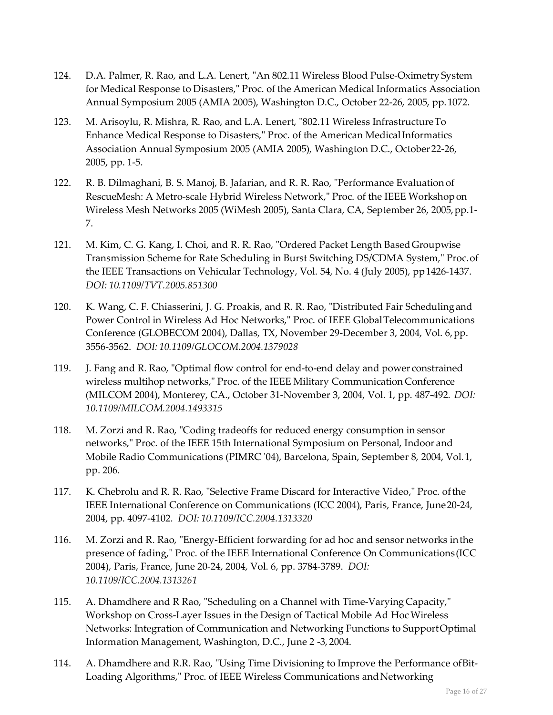- 124. D.A. Palmer, R. Rao, and L.A. Lenert, "An 802.11 Wireless Blood Pulse-Oximetry System for Medical Response to Disasters," Proc. of the American Medical Informatics Association Annual Symposium 2005 (AMIA 2005), Washington D.C., October 22-26, 2005, pp.1072.
- 123. M. Arisoylu, R. Mishra, R. Rao, and L.A. Lenert, "802.11 Wireless InfrastructureTo Enhance Medical Response to Disasters," Proc. of the American MedicalInformatics Association Annual Symposium 2005 (AMIA 2005), Washington D.C., October22-26, 2005, pp. 1-5.
- 122. R. B. Dilmaghani, B. S. Manoj, B. Jafarian, and R. R. Rao, "Performance Evaluation of RescueMesh: A Metro-scale Hybrid Wireless Network," Proc. of the IEEE Workshopon Wireless Mesh Networks 2005 (WiMesh 2005), Santa Clara, CA, September 26, 2005, pp.1-7.
- 121. M. Kim, C. G. Kang, I. Choi, and R. R. Rao, "Ordered Packet Length BasedGroupwise Transmission Scheme for Rate Scheduling in Burst Switching DS/CDMA System," Proc.of the IEEE Transactions on Vehicular Technology, Vol. 54, No. 4 (July 2005), pp1426-1437. *DOI: 10.1109/TVT.2005.851300*
- 120. K. Wang, C. F. Chiasserini, J. G. Proakis, and R. R. Rao, "Distributed Fair Schedulingand Power Control in Wireless Ad Hoc Networks," Proc. of IEEE GlobalTelecommunications Conference (GLOBECOM 2004), Dallas, TX, November 29-December 3, 2004, Vol. 6,pp. 3556-3562. *DOI: 10.1109/GLOCOM.2004.1379028*
- 119. J. Fang and R. Rao, "Optimal flow control for end-to-end delay and power constrained wireless multihop networks," Proc. of the IEEE Military Communication Conference (MILCOM 2004), Monterey, CA., October 31-November 3, 2004, Vol. 1, pp. 487-492. *DOI: 10.1109/MILCOM.2004.1493315*
- 118. M. Zorzi and R. Rao, "Coding tradeoffs for reduced energy consumption in sensor networks," Proc. of the IEEE 15th International Symposium on Personal, Indoor and Mobile Radio Communications (PIMRC '04), Barcelona, Spain, September 8, 2004, Vol.1, pp. 206.
- 117. K. Chebrolu and R. R. Rao, "Selective Frame Discard for Interactive Video," Proc. ofthe IEEE International Conference on Communications (ICC 2004), Paris, France, June20-24, 2004, pp. 4097-4102. *DOI: 10.1109/ICC.2004.1313320*
- 116. M. Zorzi and R. Rao, "Energy-Efficient forwarding for ad hoc and sensor networks inthe presence of fading," Proc. of the IEEE International Conference On Communications(ICC 2004), Paris, France, June 20-24, 2004, Vol. 6, pp. 3784-3789. *DOI: 10.1109/ICC.2004.1313261*
- 115. A. Dhamdhere and R Rao, "Scheduling on a Channel with Time-Varying Capacity," Workshop on Cross-Layer Issues in the Design of Tactical Mobile Ad HocWireless Networks: Integration of Communication and Networking Functions to SupportOptimal Information Management, Washington, D.C., June 2 -3, 2004.
- 114. A. Dhamdhere and R.R. Rao, "Using Time Divisioning to Improve the Performance ofBit-Loading Algorithms," Proc. of IEEE Wireless Communications andNetworking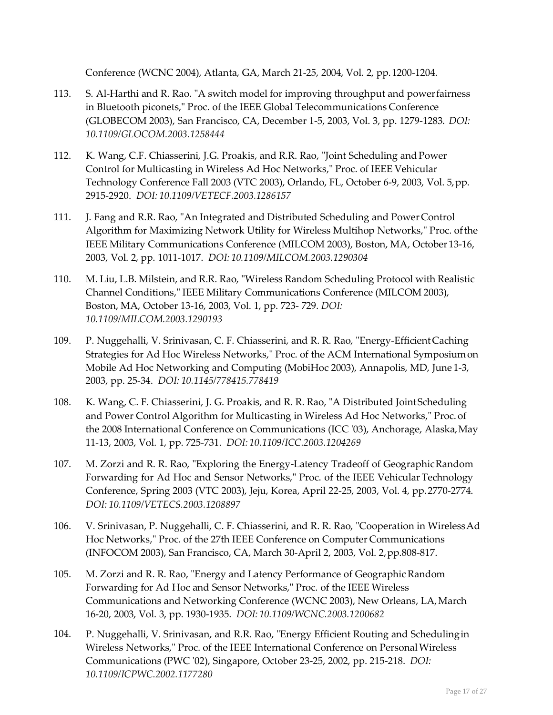Conference (WCNC 2004), Atlanta, GA, March 21-25, 2004, Vol. 2, pp. 1200-1204.

- 113. S. Al-Harthi and R. Rao. "A switch model for improving throughput and powerfairness in Bluetooth piconets," Proc. of the IEEE Global Telecommunications Conference (GLOBECOM 2003), San Francisco, CA, December 1-5, 2003, Vol. 3, pp. 1279-1283. *DOI: 10.1109/GLOCOM.2003.1258444*
- 112. K. Wang, C.F. Chiasserini, J.G. Proakis, and R.R. Rao, "Joint Scheduling and Power Control for Multicasting in Wireless Ad Hoc Networks," Proc. of IEEE Vehicular Technology Conference Fall 2003 (VTC 2003), Orlando, FL, October 6-9, 2003, Vol. 5,pp. 2915-2920. *DOI: 10.1109/VETECF.2003.1286157*
- 111. J. Fang and R.R. Rao, "An Integrated and Distributed Scheduling and Power Control Algorithm for Maximizing Network Utility for Wireless Multihop Networks," Proc. ofthe IEEE Military Communications Conference (MILCOM 2003), Boston, MA, October 13-16, 2003, Vol. 2, pp. 1011-1017. *DOI: 10.1109/MILCOM.2003.1290304*
- 110. M. Liu, L.B. Milstein, and R.R. Rao, "Wireless Random Scheduling Protocol with Realistic Channel Conditions," IEEE Military Communications Conference (MILCOM 2003), Boston, MA, October 13-16, 2003, Vol. 1, pp. 723- 729. *DOI: 10.1109/MILCOM.2003.1290193*
- 109. P. Nuggehalli, V. Srinivasan, C. F. Chiasserini, and R. R. Rao, "Energy-EfficientCaching Strategies for Ad Hoc Wireless Networks," Proc. of the ACM International Symposiumon Mobile Ad Hoc Networking and Computing (MobiHoc 2003), Annapolis, MD, June 1-3, 2003, pp. 25-34. *DOI: 10.1145/778415.778419*
- 108. K. Wang, C. F. Chiasserini, J. G. Proakis, and R. R. Rao, "A Distributed JointScheduling and Power Control Algorithm for Multicasting in Wireless Ad Hoc Networks," Proc. of the 2008 International Conference on Communications (ICC '03), Anchorage, Alaska,May 11-13, 2003, Vol. 1, pp. 725-731. *DOI: 10.1109/ICC.2003.1204269*
- 107. M. Zorzi and R. R. Rao, "Exploring the Energy-Latency Tradeoff of GeographicRandom Forwarding for Ad Hoc and Sensor Networks," Proc. of the IEEE Vehicular Technology Conference, Spring 2003 (VTC 2003), Jeju, Korea, April 22-25, 2003, Vol. 4, pp.2770-2774. *DOI: 10.1109/VETECS.2003.1208897*
- 106. V. Srinivasan, P. Nuggehalli, C. F. Chiasserini, and R. R. Rao, "Cooperation in WirelessAd Hoc Networks," Proc. of the 27th IEEE Conference on Computer Communications (INFOCOM 2003), San Francisco, CA, March 30-April 2, 2003, Vol. 2,pp.808-817.
- 105. M. Zorzi and R. R. Rao, "Energy and Latency Performance of Geographic Random Forwarding for Ad Hoc and Sensor Networks," Proc. of the IEEE Wireless Communications and Networking Conference (WCNC 2003), New Orleans, LA,March 16-20, 2003, Vol. 3, pp. 1930-1935. *DOI: 10.1109/WCNC.2003.1200682*
- 104. P. Nuggehalli, V. Srinivasan, and R.R. Rao, "Energy Efficient Routing and Schedulingin Wireless Networks," Proc. of the IEEE International Conference on PersonalWireless Communications (PWC '02), Singapore, October 23-25, 2002, pp. 215-218. *DOI: 10.1109/ICPWC.2002.1177280*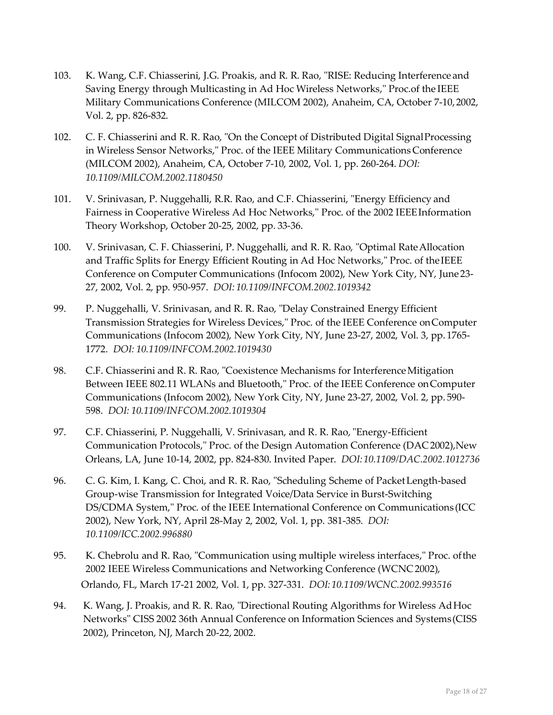- 103. K. Wang, C.F. Chiasserini, J.G. Proakis, and R. R. Rao, "RISE: Reducing Interference and Saving Energy through Multicasting in Ad Hoc Wireless Networks," Proc.of the IEEE Military Communications Conference (MILCOM 2002), Anaheim, CA, October 7-10,2002, Vol. 2, pp. 826-832.
- 102. C. F. Chiasserini and R. R. Rao, "On the Concept of Distributed Digital SignalProcessing in Wireless Sensor Networks," Proc. of the IEEE Military CommunicationsConference (MILCOM 2002), Anaheim, CA, October 7-10, 2002, Vol. 1, pp. 260-264. *DOI: 10.1109/MILCOM.2002.1180450*
- 101. V. Srinivasan, P. Nuggehalli, R.R. Rao, and C.F. Chiasserini, "Energy Efficiency and Fairness in Cooperative Wireless Ad Hoc Networks," Proc. of the 2002 IEEEInformation Theory Workshop, October 20-25, 2002, pp. 33-36.
- 100. V. Srinivasan, C. F. Chiasserini, P. Nuggehalli, and R. R. Rao, "Optimal Rate Allocation and Traffic Splits for Energy Efficient Routing in Ad Hoc Networks," Proc. of theIEEE Conference on Computer Communications (Infocom 2002), New York City, NY, June 23- 27, 2002, Vol. 2, pp. 950-957. *DOI: 10.1109/INFCOM.2002.1019342*
- 99. P. Nuggehalli, V. Srinivasan, and R. R. Rao, "Delay Constrained Energy Efficient Transmission Strategies for Wireless Devices," Proc. of the IEEE Conference onComputer Communications (Infocom 2002), New York City, NY, June 23-27, 2002, Vol. 3, pp. 1765- 1772. *DOI: 10.1109/INFCOM.2002.1019430*
- 98. C.F. Chiasserini and R. R. Rao, "Coexistence Mechanisms for Interference Mitigation Between IEEE 802.11 WLANs and Bluetooth," Proc. of the IEEE Conference onComputer Communications (Infocom 2002), New York City, NY, June 23-27, 2002, Vol. 2, pp. 590- 598. *DOI: 10.1109/INFCOM.2002.1019304*
- 97. C.F. Chiasserini, P. Nuggehalli, V. Srinivasan, and R. R. Rao,"Energy-Efficient Communication Protocols," Proc. of the Design Automation Conference (DAC2002),New Orleans, LA, June 10-14, 2002, pp. 824-830. Invited Paper. *DOI:10.1109/DAC.2002.1012736*
- 96. C. G. Kim, I. Kang, C. Choi, and R. R. Rao, "Scheduling Scheme of PacketLength-based Group-wise Transmission for Integrated Voice/Data Service in Burst-Switching DS/CDMA System," Proc. of the IEEE International Conference on Communications (ICC 2002), New York, NY, April 28-May 2, 2002, Vol. 1, pp. 381-385. *DOI: 10.1109/ICC.2002.996880*
- 95. K. Chebrolu and R. Rao, "Communication using multiple wireless interfaces," Proc. of the 2002 IEEE Wireless Communications and Networking Conference (WCNC2002), Orlando, FL, March 17-21 2002, Vol. 1, pp. 327-331. *DOI: 10.1109/WCNC.2002.993516*
- 94. K. Wang, J. Proakis, and R. R. Rao, "Directional Routing Algorithms for Wireless Ad Hoc Networks" CISS 2002 36th Annual Conference on Information Sciences and Systems(CISS 2002), Princeton, NJ, March 20-22, 2002.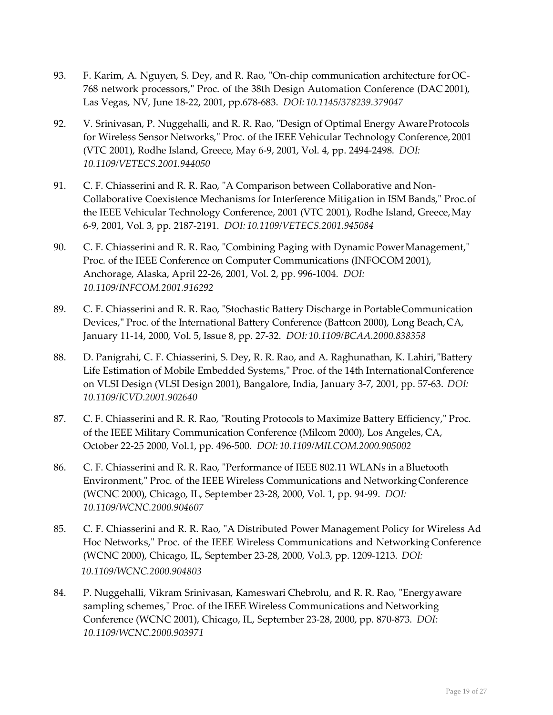- 93. F. Karim, A. Nguyen, S. Dey, and R. Rao, "On-chip communication architecture forOC-768 network processors," Proc. of the 38th Design Automation Conference (DAC 2001), Las Vegas, NV, June 18-22, 2001, pp.678-683. *DOI: 10.1145/378239.379047*
- 92. V. Srinivasan, P. Nuggehalli, and R. R. Rao, "Design of Optimal Energy AwareProtocols for Wireless Sensor Networks," Proc. of the IEEE Vehicular Technology Conference,2001 (VTC 2001), Rodhe Island, Greece, May 6-9, 2001, Vol. 4, pp. 2494-2498. *DOI: 10.1109/VETECS.2001.944050*
- 91. C. F. Chiasserini and R. R. Rao, "A Comparison between Collaborative and Non-Collaborative Coexistence Mechanisms for Interference Mitigation in ISM Bands," Proc.of the IEEE Vehicular Technology Conference, 2001 (VTC 2001), Rodhe Island, Greece,May 6-9, 2001, Vol. 3, pp. 2187-2191. *DOI: 10.1109/VETECS.2001.945084*
- 90. C. F. Chiasserini and R. R. Rao, "Combining Paging with Dynamic PowerManagement," Proc. of the IEEE Conference on Computer Communications (INFOCOM 2001), Anchorage, Alaska, April 22-26, 2001, Vol. 2, pp. 996-1004. *DOI: 10.1109/INFCOM.2001.916292*
- 89. C. F. Chiasserini and R. R. Rao, "Stochastic Battery Discharge in PortableCommunication Devices," Proc. of the International Battery Conference (Battcon 2000), Long Beach,CA, January 11-14, 2000, Vol. 5, Issue 8, pp. 27-32. *DOI: 10.1109/BCAA.2000.838358*
- 88. D. Panigrahi, C. F. Chiasserini, S. Dey, R. R. Rao, and A. Raghunathan, K. Lahiri,"Battery Life Estimation of Mobile Embedded Systems," Proc. of the 14th InternationalConference on VLSI Design (VLSI Design 2001), Bangalore, India, January 3-7, 2001, pp. 57-63. *DOI: 10.1109/ICVD.2001.902640*
- 87. C. F. Chiasserini and R. R. Rao, "Routing Protocols to Maximize Battery Efficiency," Proc. of the IEEE Military Communication Conference (Milcom 2000), Los Angeles, CA, October 22-25 2000, Vol.1, pp. 496-500. *DOI: 10.1109/MILCOM.2000.905002*
- 86. C. F. Chiasserini and R. R. Rao, "Performance of IEEE 802.11 WLANs in aBluetooth Environment," Proc. of the IEEE Wireless Communications and NetworkingConference (WCNC 2000), Chicago, IL, September 23-28, 2000, Vol. 1, pp. 94-99. *DOI: 10.1109/WCNC.2000.904607*
- 85. C. F. Chiasserini and R. R. Rao, "A Distributed Power Management Policy for Wireless Ad Hoc Networks," Proc. of the IEEE Wireless Communications and Networking Conference (WCNC 2000), Chicago, IL, September 23-28, 2000, Vol.3, pp. 1209-1213. *DOI: 10.1109/WCNC.2000.904803*
- 84. P. Nuggehalli, Vikram Srinivasan, Kameswari Chebrolu, and R. R. Rao, "Energyaware sampling schemes," Proc. of the IEEE Wireless Communications and Networking Conference (WCNC 2001), Chicago, IL, September 23-28, 2000, pp. 870-873. *DOI: 10.1109/WCNC.2000.903971*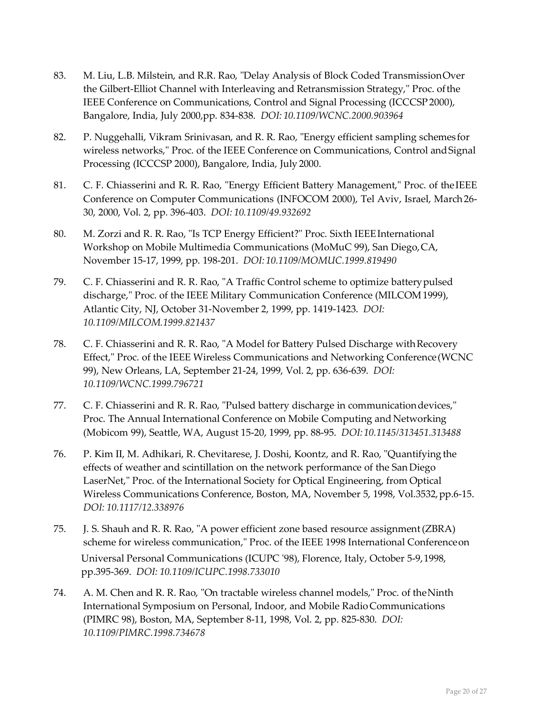- 83. M. Liu, L.B. Milstein, and R.R. Rao, "Delay Analysis of Block Coded TransmissionOver the Gilbert-Elliot Channel with Interleaving and Retransmission Strategy," Proc. ofthe IEEE Conference on Communications, Control and Signal Processing (ICCCSP 2000), Bangalore, India, July 2000,pp. 834-838. *DOI: 10.1109/WCNC.2000.903964*
- 82. P. Nuggehalli, Vikram Srinivasan, and R. R. Rao, "Energy efficient sampling schemes for wireless networks," Proc. of the IEEE Conference on Communications, Control andSignal Processing (ICCCSP 2000), Bangalore, India, July 2000.
- 81. C. F. Chiasserini and R. R. Rao, "Energy Efficient Battery Management," Proc. of theIEEE Conference on Computer Communications (INFOCOM 2000), Tel Aviv, Israel, March26- 30, 2000, Vol. 2, pp. 396-403. *DOI: 10.1109/49.932692*
- 80. M. Zorzi and R. R. Rao, "Is TCP Energy Efficient?" Proc. Sixth IEEEInternational Workshop on Mobile Multimedia Communications (MoMuC 99), San Diego,CA, November 15-17, 1999, pp. 198-201. *DOI: 10.1109/MOMUC.1999.819490*
- 79. C. F. Chiasserini and R. R. Rao, "A Traffic Control scheme to optimize batterypulsed discharge," Proc. of the IEEE Military Communication Conference (MILCOM1999), Atlantic City, NJ, October 31-November 2, 1999, pp. 1419-1423. *DOI: 10.1109/MILCOM.1999.821437*
- 78. C. F. Chiasserini and R. R. Rao, "A Model for Battery Pulsed Discharge withRecovery Effect," Proc. of the IEEE Wireless Communications and Networking Conference(WCNC 99), New Orleans, LA, September 21-24, 1999, Vol. 2, pp. 636-639. *DOI: 10.1109/WCNC.1999.796721*
- 77. C. F. Chiasserini and R. R. Rao, "Pulsed battery discharge in communicationdevices," Proc. The Annual International Conference on Mobile Computing and Networking (Mobicom 99), Seattle, WA, August 15-20, 1999, pp. 88-95. *DOI:10.1145/313451.313488*
- 76. P. Kim II, M. Adhikari, R. Chevitarese, J. Doshi, Koontz, and R. Rao, "Quantifying the effects of weather and scintillation on the network performance of the San Diego LaserNet," Proc. of the International Society for Optical Engineering, from Optical Wireless Communications Conference, Boston, MA, November 5, 1998, Vol.3532, pp.6-15. *DOI: 10.1117/12.338976*
- 75. J. S. Shauh and R. R. Rao, "A power efficient zone based resource assignment(ZBRA) scheme for wireless communication," Proc. of the IEEE 1998 International Conferenceon Universal Personal Communications (ICUPC '98), Florence, Italy, October 5-9,1998, pp.395-369. *DOI: 10.1109/ICUPC.1998.733010*
- 74. A. M. Chen and R. R. Rao, "On tractable wireless channel models," Proc. of theNinth International Symposium on Personal, Indoor, and Mobile RadioCommunications (PIMRC 98), Boston, MA, September 8-11, 1998, Vol. 2, pp. 825-830. *DOI: 10.1109/PIMRC.1998.734678*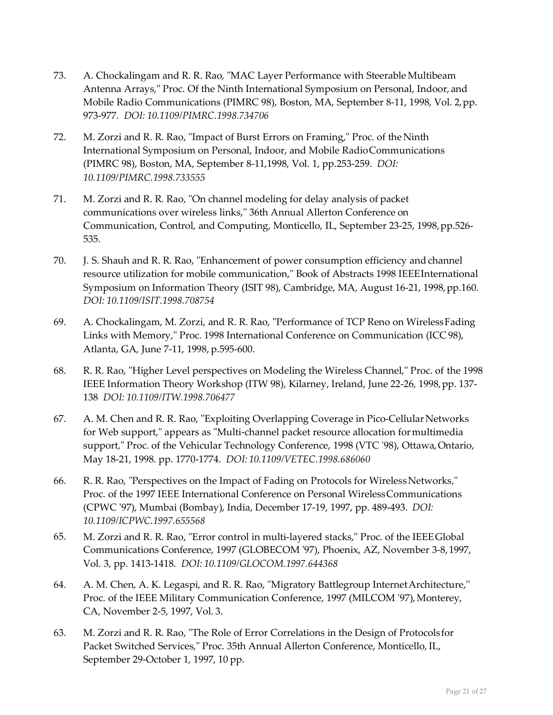- 73. A. Chockalingam and R. R. Rao, "MAC Layer Performance with Steerable Multibeam Antenna Arrays," Proc. Of the Ninth International Symposium on Personal, Indoor, and Mobile Radio Communications (PIMRC 98), Boston, MA, September 8-11, 1998, Vol. 2,pp. 973-977. *DOI: 10.1109/PIMRC.1998.734706*
- 72. M. Zorzi and R. R. Rao, "Impact of Burst Errors on Framing," Proc. of the Ninth International Symposium on Personal, Indoor, and Mobile RadioCommunications (PIMRC 98), Boston, MA, September 8-11,1998, Vol. 1, pp.253-259. *DOI: 10.1109/PIMRC.1998.733555*
- 71. M. Zorzi and R. R. Rao, "On channel modeling for delay analysis of packet communications over wireless links," 36th Annual Allerton Conference on Communication, Control, and Computing, Monticello, IL, September 23-25, 1998,pp.526- 535.
- 70. J. S. Shauh and R. R. Rao, "Enhancement of power consumption efficiency and channel resource utilization for mobile communication," Book of Abstracts 1998 IEEEInternational Symposium on Information Theory (ISIT 98), Cambridge, MA, August 16-21, 1998,pp.160. *DOI: 10.1109/ISIT.1998.708754*
- 69. A. Chockalingam, M. Zorzi, and R. R. Rao, "Performance of TCP Reno on WirelessFading Links with Memory," Proc. 1998 International Conference on Communication (ICC 98), Atlanta, GA, June 7-11, 1998, p.595-600.
- 68. R. R. Rao, "Higher Level perspectives on Modeling the Wireless Channel," Proc. of the 1998 IEEE Information Theory Workshop (ITW 98), Kilarney, Ireland, June 22-26, 1998,pp. 137- 138 *DOI: 10.1109/ITW.1998.706477*
- 67. A. M. Chen and R. R. Rao, "Exploiting Overlapping Coverage in Pico-Cellular Networks for Web support," appears as "Multi-channel packet resource allocation formultimedia support," Proc. of the Vehicular Technology Conference, 1998 (VTC '98), Ottawa,Ontario, May 18-21, 1998. pp. 1770-1774. *DOI: 10.1109/VETEC.1998.686060*
- 66. R. R. Rao, "Perspectives on the Impact of Fading on Protocols for WirelessNetworks," Proc. of the 1997 IEEE International Conference on Personal WirelessCommunications (CPWC '97), Mumbai (Bombay), India, December 17-19, 1997, pp. 489-493. *DOI: 10.1109/ICPWC.1997.655568*
- 65. M. Zorzi and R. R. Rao, "Error control in multi-layered stacks," Proc. of the IEEEGlobal Communications Conference, 1997 (GLOBECOM '97), Phoenix, AZ, November 3-8,1997, Vol. 3, pp. 1413-1418. *DOI: 10.1109/GLOCOM.1997.644368*
- 64. A. M. Chen, A. K. Legaspi, and R. R. Rao, "Migratory Battlegroup InternetArchitecture,'' Proc. of the IEEE Military Communication Conference, 1997 (MILCOM '97), Monterey, CA, November 2-5, 1997, Vol. 3.
- 63. M. Zorzi and R. R. Rao, "The Role of Error Correlations in the Design of Protocolsfor Packet Switched Services," Proc. 35th Annual Allerton Conference, Monticello, IL, September 29-October 1, 1997, 10 pp.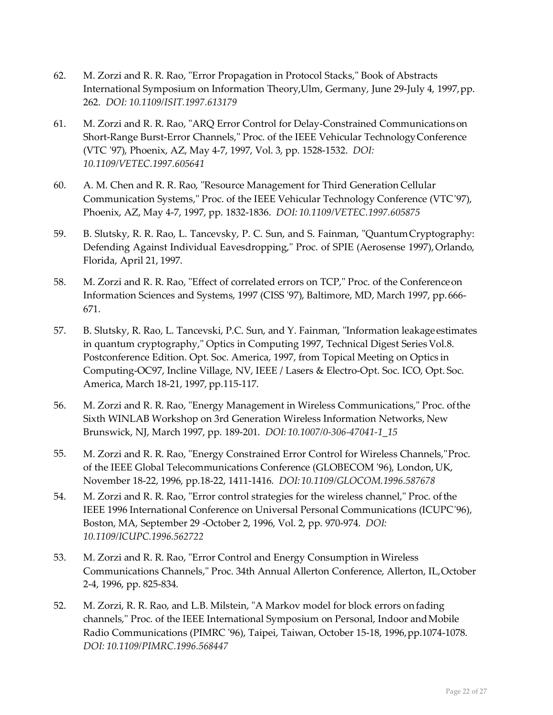- 62. M. Zorzi and R. R. Rao, "Error Propagation in Protocol Stacks," Book of Abstracts International Symposium on Information Theory,Ulm, Germany, June 29-July 4, 1997,pp. 262. *DOI: 10.1109/ISIT.1997.613179*
- 61. M. Zorzi and R. R. Rao, "ARQ Error Control for Delay-Constrained Communicationson Short-Range Burst-Error Channels," Proc. of the IEEE Vehicular TechnologyConference (VTC '97), Phoenix, AZ, May 4-7, 1997, Vol. 3, pp. 1528-1532. *DOI: 10.1109/VETEC.1997.605641*
- 60. A. M. Chen and R. R. Rao, "Resource Management for Third Generation Cellular Communication Systems," Proc. of the IEEE Vehicular Technology Conference (VTC'97), Phoenix, AZ, May 4-7, 1997, pp. 1832-1836. *DOI: 10.1109/VETEC.1997.605875*
- 59. B. Slutsky, R. R. Rao, L. Tancevsky, P. C. Sun, and S. Fainman, "QuantumCryptography: Defending Against Individual Eavesdropping," Proc. of SPIE (Aerosense 1997), Orlando, Florida, April 21, 1997.
- 58. M. Zorzi and R. R. Rao, "Effect of correlated errors on TCP," Proc. of the Conferenceon Information Sciences and Systems, 1997 (CISS '97), Baltimore, MD, March 1997, pp.666- 671.
- 57. B. Slutsky, R. Rao, L. Tancevski, P.C. Sun, and Y. Fainman, "Information leakageestimates in quantum cryptography," Optics in Computing 1997, Technical Digest Series Vol.8. Postconference Edition. Opt. Soc. America, 1997, from Topical Meeting on Optics in Computing-OC97, Incline Village, NV, IEEE / Lasers & Electro-Opt. Soc. ICO, Opt. Soc. America, March 18-21, 1997, pp.115-117.
- 56. M. Zorzi and R. R. Rao, "Energy Management in Wireless Communications," Proc. ofthe Sixth WINLAB Workshop on 3rd Generation Wireless Information Networks, New Brunswick, NJ, March 1997, pp. 189-201. *DOI: 10.1007/0-306-47041-1\_15*
- 55. M. Zorzi and R. R. Rao, "Energy Constrained Error Control for Wireless Channels,"Proc. of the IEEE Global Telecommunications Conference (GLOBECOM '96), London, UK, November 18-22, 1996, pp.18-22, 1411-1416. *DOI:10.1109/GLOCOM.1996.587678*
- 54. M. Zorzi and R. R. Rao, "Error control strategies for the wireless channel," Proc. of the IEEE 1996 International Conference on Universal Personal Communications (ICUPC'96), Boston, MA, September 29 -October 2, 1996, Vol. 2, pp. 970-974. *DOI: 10.1109/ICUPC.1996.562722*
- 53. M. Zorzi and R. R. Rao, "Error Control and Energy Consumption in Wireless Communications Channels," Proc. 34th Annual Allerton Conference, Allerton, IL,October 2-4, 1996, pp. 825-834.
- 52. M. Zorzi, R. R. Rao, and L.B. Milstein, "A Markov model for block errors on fading channels," Proc. of the IEEE International Symposium on Personal, Indoor andMobile Radio Communications (PIMRC '96), Taipei, Taiwan, October 15-18, 1996,pp.1074-1078. *DOI: 10.1109/PIMRC.1996.568447*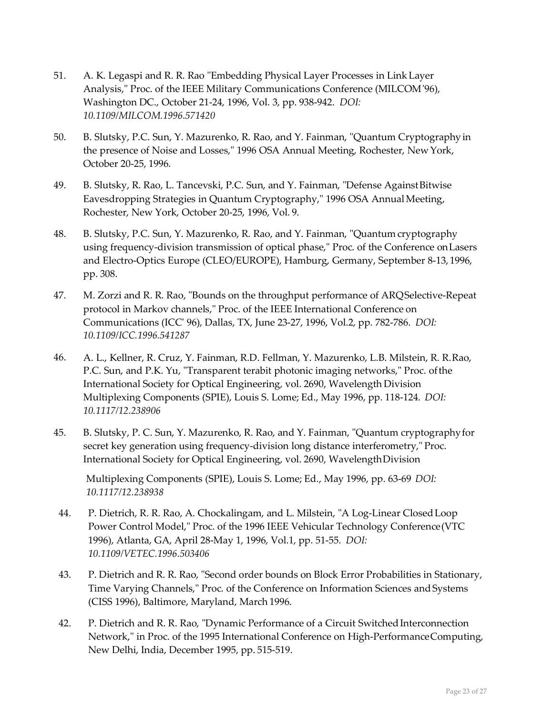- 51. A. K. Legaspi and R. R. Rao "Embedding Physical Layer Processes in LinkLayer Analysis," Proc. of the IEEE Military Communications Conference (MILCOM'96), Washington DC., October 21-24, 1996, Vol. 3, pp. 938-942. *DOI: 10.1109/MILCOM.1996.571420*
- 50. B. Slutsky, P.C. Sun, Y. Mazurenko, R. Rao, and Y. Fainman, "Quantum Cryptographyin the presence of Noise and Losses," 1996 OSA Annual Meeting, Rochester, New York, October 20-25, 1996.
- 49. B. Slutsky, R. Rao, L. Tancevski, P.C. Sun, and Y. Fainman, "Defense AgainstBitwise Eavesdropping Strategies in Quantum Cryptography," 1996 OSA Annual Meeting, Rochester, New York, October 20-25, 1996, Vol. 9.
- 48. B. Slutsky, P.C. Sun, Y. Mazurenko, R. Rao, and Y. Fainman, "Quantum cryptography using frequency-division transmission of optical phase," Proc. of the Conference onLasers and Electro-Optics Europe (CLEO/EUROPE), Hamburg, Germany, September 8-13, 1996, pp. 308.
- 47. M. Zorzi and R. R. Rao, "Bounds on the throughput performance of ARQSelective-Repeat protocol in Markov channels," Proc. of the IEEE International Conference on Communications (ICC' 96), Dallas, TX, June 23-27, 1996, Vol.2, pp. 782-786. *DOI: 10.1109/ICC.1996.541287*
- 46. A. L., Kellner, R. Cruz, Y. Fainman, R.D. Fellman, Y. Mazurenko, L.B. Milstein, R. R.Rao, P.C. Sun, and P.K. Yu, "Transparent terabit photonic imaging networks," Proc. ofthe International Society for Optical Engineering, vol. 2690, Wavelength Division Multiplexing Components (SPIE), Louis S. Lome; Ed., May 1996, pp. 118-124. *DOI: 10.1117/12.238906*
- 45. B. Slutsky, P. C. Sun, Y. Mazurenko, R. Rao, and Y. Fainman, "Quantum cryptographyfor secret key generation using frequency-division long distance interferometry," Proc. International Society for Optical Engineering, vol. 2690, WavelengthDivision

Multiplexing Components (SPIE), Louis S. Lome; Ed., May 1996, pp. 63-69 *DOI: 10.1117/12.238938*

- 44. P. Dietrich, R. R. Rao, A. Chockalingam, and L. Milstein, "A Log-Linear ClosedLoop Power Control Model," Proc. of the 1996 IEEE Vehicular Technology Conference(VTC 1996), Atlanta, GA, April 28-May 1, 1996, Vol.1, pp. 51-55. *DOI: 10.1109/VETEC.1996.503406*
- 43. P. Dietrich and R. R. Rao, "Second order bounds on Block Error Probabilities in Stationary, Time Varying Channels," Proc. of the Conference on Information Sciences and Systems (CISS 1996), Baltimore, Maryland, March 1996.
- 42. P. Dietrich and R. R. Rao, "Dynamic Performance of a Circuit Switched Interconnection Network," in Proc. of the 1995 International Conference on High-PerformanceComputing, New Delhi, India, December 1995, pp. 515-519.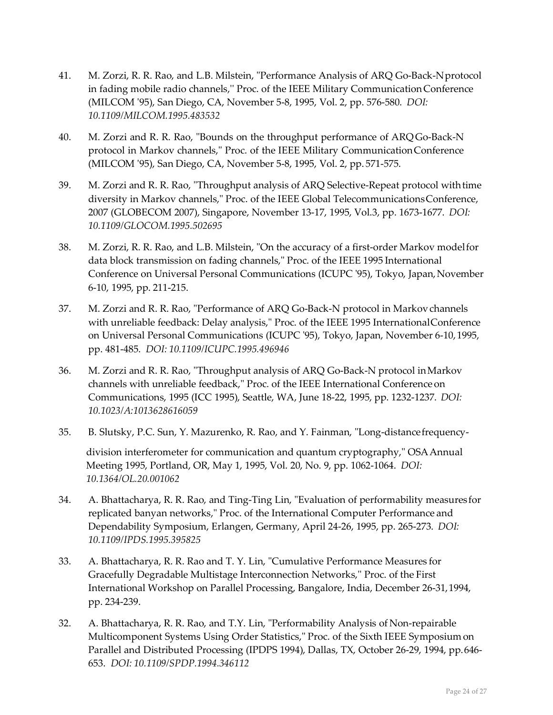- 41. M. Zorzi, R. R. Rao, and L.B. Milstein, "Performance Analysis of ARQ Go-Back-Nprotocol in fading mobile radio channels,'' Proc. of the IEEE Military CommunicationConference (MILCOM '95), San Diego, CA, November 5-8, 1995, Vol. 2, pp. 576-580. *DOI: 10.1109/MILCOM.1995.483532*
- 40. M. Zorzi and R. R. Rao, "Bounds on the throughput performance of ARQGo-Back-N protocol in Markov channels," Proc. of the IEEE Military CommunicationConference (MILCOM '95), San Diego, CA, November 5-8, 1995, Vol. 2, pp. 571-575.
- 39. M. Zorzi and R. R. Rao, "Throughput analysis of ARQ Selective-Repeat protocol withtime diversity in Markov channels," Proc. of the IEEE Global TelecommunicationsConference, 2007 (GLOBECOM 2007), Singapore, November 13-17, 1995, Vol.3, pp. 1673-1677. *DOI: 10.1109/GLOCOM.1995.502695*
- 38. M. Zorzi, R. R. Rao, and L.B. Milstein, "On the accuracy of a first-order Markov modelfor data block transmission on fading channels," Proc. of the IEEE 1995 International Conference on Universal Personal Communications (ICUPC '95), Tokyo, Japan,November 6-10, 1995, pp. 211-215.
- 37. M. Zorzi and R. R. Rao, "Performance of ARQ Go-Back-N protocol in Markovchannels with unreliable feedback: Delay analysis," Proc. of the IEEE 1995 InternationalConference on Universal Personal Communications (ICUPC '95), Tokyo, Japan, November 6-10,1995, pp. 481-485. *DOI: 10.1109/ICUPC.1995.496946*
- 36. M. Zorzi and R. R. Rao, "Throughput analysis of ARQ Go-Back-N protocol inMarkov channels with unreliable feedback," Proc. of the IEEE International Conference on Communications, 1995 (ICC 1995), Seattle, WA, June 18-22, 1995, pp. 1232-1237. *DOI: 10.1023/A:1013628616059*
- 35. B. Slutsky, P.C. Sun, Y. Mazurenko, R. Rao, and Y. Fainman, "Long-distancefrequencydivision interferometer for communication and quantum cryptography," OSAAnnual Meeting 1995, Portland, OR, May 1, 1995, Vol. 20, No. 9, pp. 1062-1064. *DOI: 10.1364/OL.20.001062*
- 34. A. Bhattacharya, R. R. Rao, and Ting-Ting Lin, "Evaluation of performability measures for replicated banyan networks," Proc. of the International Computer Performance and Dependability Symposium, Erlangen, Germany, April 24-26, 1995, pp. 265-273. *DOI: 10.1109/IPDS.1995.395825*
- 33. A. Bhattacharya, R. R. Rao and T. Y. Lin, "Cumulative Performance Measures for Gracefully Degradable Multistage Interconnection Networks,'' Proc. of the First International Workshop on Parallel Processing, Bangalore, India, December 26-31,1994, pp. 234-239.
- 32. A. Bhattacharya, R. R. Rao, and T.Y. Lin, "Performability Analysis of Non-repairable Multicomponent Systems Using Order Statistics," Proc. of the Sixth IEEE Symposium on Parallel and Distributed Processing (IPDPS 1994), Dallas, TX, October 26-29, 1994, pp.646- 653. *DOI: 10.1109/SPDP.1994.346112*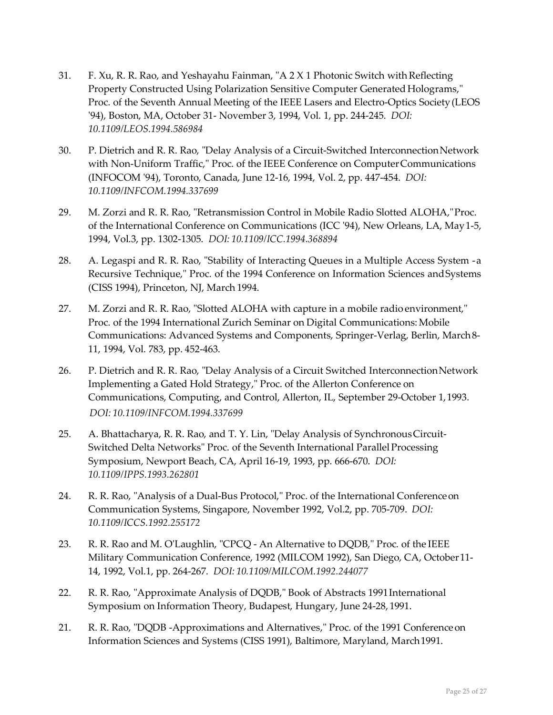- 31. F. Xu, R. R. Rao, and Yeshayahu Fainman, "A  $2 \times 1$  Photonic Switch with Reflecting Property Constructed Using Polarization Sensitive Computer Generated Holograms," Proc. of the Seventh Annual Meeting of the IEEE Lasers and Electro-Optics Society(LEOS '94), Boston, MA, October 31- November 3, 1994, Vol. 1, pp. 244-245. *DOI: 10.1109/LEOS.1994.586984*
- 30. P. Dietrich and R. R. Rao, "Delay Analysis of a Circuit-Switched InterconnectionNetwork with Non-Uniform Traffic," Proc. of the IEEE Conference on ComputerCommunications (INFOCOM '94), Toronto, Canada, June 12-16, 1994, Vol. 2, pp. 447-454. *DOI: 10.1109/INFCOM.1994.337699*
- 29. M. Zorzi and R. R. Rao, "Retransmission Control in Mobile Radio Slotted ALOHA,"Proc. of the International Conference on Communications (ICC '94), New Orleans, LA, May1-5, 1994, Vol.3, pp. 1302-1305. *DOI: 10.1109/ICC.1994.368894*
- 28. A. Legaspi and R. R. Rao, "Stability of Interacting Queues in a Multiple Access System -a Recursive Technique," Proc. of the 1994 Conference on Information Sciences andSystems (CISS 1994), Princeton, NJ, March 1994.
- 27. M. Zorzi and R. R. Rao, "Slotted ALOHA with capture in a mobile radio environment," Proc. of the 1994 International Zurich Seminar on Digital Communications: Mobile Communications: Advanced Systems and Components, Springer-Verlag, Berlin, March8- 11, 1994, Vol. 783, pp. 452-463.
- 26. P. Dietrich and R. R. Rao, "Delay Analysis of a Circuit Switched InterconnectionNetwork Implementing a Gated Hold Strategy," Proc. of the Allerton Conference on Communications, Computing, and Control, Allerton, IL, September 29-October 1,1993. *DOI: 10.1109/INFCOM.1994.337699*
- 25. A. Bhattacharya, R. R. Rao, and T. Y. Lin, "Delay Analysis of SynchronousCircuit-Switched Delta Networks" Proc. of the Seventh International ParallelProcessing Symposium, Newport Beach, CA, April 16-19, 1993, pp. 666-670. *DOI: 10.1109/IPPS.1993.262801*
- 24. R. R. Rao, "Analysis of a Dual-Bus Protocol," Proc. of the International Conferenceon Communication Systems, Singapore, November 1992, Vol.2, pp. 705-709. *DOI: 10.1109/ICCS.1992.255172*
- 23. R. R. Rao and M. O'Laughlin, "CPCQ An Alternative to DQDB," Proc. of the IEEE Military Communication Conference, 1992 (MILCOM 1992), San Diego, CA, October11- 14, 1992, Vol.1, pp. 264-267. *DOI: 10.1109/MILCOM.1992.244077*
- 22. R. R. Rao, "Approximate Analysis of DQDB," Book of Abstracts 1991International Symposium on Information Theory, Budapest, Hungary, June 24-28, 1991.
- 21. R. R. Rao, "DQDB -Approximations and Alternatives," Proc. of the 1991 Conferenceon Information Sciences and Systems (CISS 1991), Baltimore, Maryland, March1991.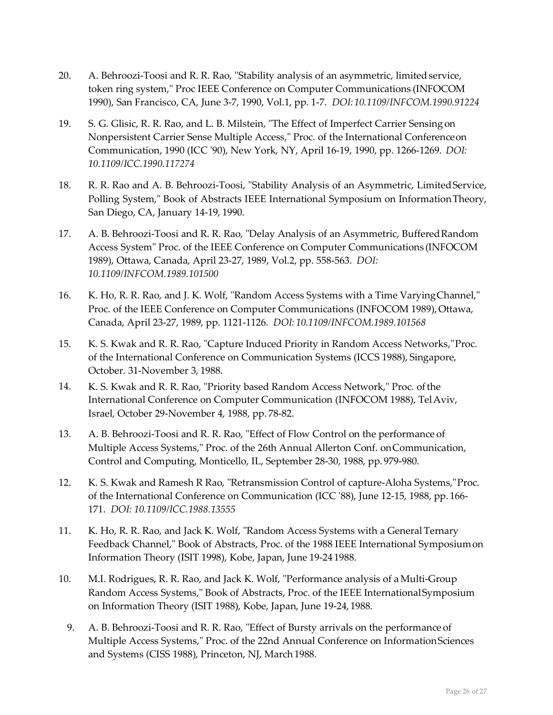- 20. A. Behroozi-Toosi and R. R. Rao, "Stability analysis of an asymmetric, limited service, token ring system," Proc IEEE Conference on Computer Communications (INFOCOM 1990), San Francisco, CA, June 3-7, 1990, Vol.1, pp. 1-7. *DOI:10.1109/INFCOM.1990.91224*
- 19. S. G. Glisic, R. R. Rao, and L. B. Milstein, "The Effect of Imperfect Carrier Sensingon Nonpersistent Carrier Sense Multiple Access," Proc. of the International Conferenceon Communication, 1990 (ICC '90), New York, NY, April 16-19, 1990, pp. 1266-1269. *DOI: 10.1109/ICC.1990.117274*
- 18. R. R. Rao and A. B. Behroozi-Toosi, "Stability Analysis of an Asymmetric, LimitedService, Polling System," Book of Abstracts IEEE International Symposium on InformationTheory, San Diego, CA, January 14-19, 1990.
- 17. A. B. Behroozi-Toosi and R. R. Rao, "Delay Analysis of an Asymmetric, BufferedRandom Access System" Proc. of the IEEE Conference on Computer Communications (INFOCOM 1989), Ottawa, Canada, April 23-27, 1989, Vol.2, pp. 558-563. *DOI: 10.1109/INFCOM.1989.101500*
- 16. K. Ho, R. R. Rao, and J. K. Wolf, "Random Access Systems with a Time VaryingChannel," Proc. of the IEEE Conference on Computer Communications (INFOCOM 1989), Ottawa, Canada, April 23-27, 1989, pp. 1121-1126. *DOI: 10.1109/INFCOM.1989.101568*
- 15. K. S. Kwak and R. R. Rao, "Capture Induced Priority in Random Access Networks,"Proc. of the International Conference on Communication Systems (ICCS 1988), Singapore, October. 31-November 3, 1988.
- 14. K. S. Kwak and R. R. Rao, "Priority based Random Access Network," Proc. ofthe International Conference on Computer Communication (INFOCOM 1988), TelAviv, Israel, October 29-November 4, 1988, pp. 78-82.
- 13. A. B. Behroozi-Toosi and R. R. Rao, "Effect of Flow Control on the performance of Multiple Access Systems," Proc. of the 26th Annual Allerton Conf. onCommunication, Control and Computing, Monticello, IL, September 28-30, 1988, pp. 979-980.
- 12. K. S. Kwak and Ramesh R Rao, "Retransmission Control of capture-Aloha Systems,"Proc. of the International Conference on Communication (ICC '88), June 12-15, 1988, pp. 166- 171. *DOI: 10.1109/ICC.1988.13555*
- 11. K. Ho, R. R. Rao, and Jack K. Wolf, "Random Access Systems with a General Ternary Feedback Channel," Book of Abstracts, Proc. of the 1988 IEEE International Symposiumon Information Theory (ISIT 1998), Kobe, Japan, June 19-24 1988.
- 10. M.I. Rodrigues, R. R. Rao, and Jack K. Wolf, "Performance analysis of aMulti-Group Random Access Systems," Book of Abstracts, Proc. of the IEEE InternationalSymposium on Information Theory (ISIT 1988), Kobe, Japan, June 19-24, 1988.
	- 9. A. B. Behroozi-Toosi and R. R. Rao, "Effect of Bursty arrivals on the performance of Multiple Access Systems," Proc. of the 22nd Annual Conference on InformationSciences and Systems (CISS 1988), Princeton, NJ, March 1988.